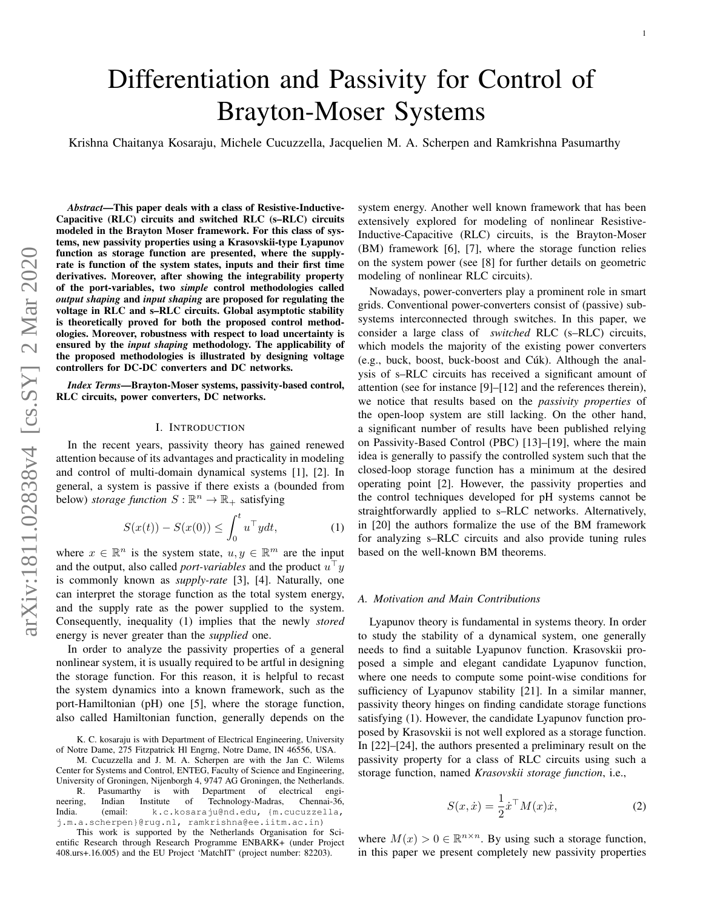# Differentiation and Passivity for Control of Brayton-Moser Systems

Krishna Chaitanya Kosaraju, Michele Cucuzzella, Jacquelien M. A. Scherpen and Ramkrishna Pasumarthy

*Abstract*—This paper deals with a class of Resistive-Inductive-Capacitive (RLC) circuits and switched RLC (s–RLC) circuits modeled in the Brayton Moser framework. For this class of systems, new passivity properties using a Krasovskii-type Lyapunov function as storage function are presented, where the supplyrate is function of the system states, inputs and their first time derivatives. Moreover, after showing the integrability property of the port-variables, two *simple* control methodologies called *output shaping* and *input shaping* are proposed for regulating the voltage in RLC and s–RLC circuits. Global asymptotic stability is theoretically proved for both the proposed control methodologies. Moreover, robustness with respect to load uncertainty is ensured by the *input shaping* methodology. The applicability of the proposed methodologies is illustrated by designing voltage controllers for DC-DC converters and DC networks.

*Index Terms*—Brayton-Moser systems, passivity-based control, RLC circuits, power converters, DC networks.

## I. INTRODUCTION

In the recent years, passivity theory has gained renewed attention because of its advantages and practicality in modeling and control of multi-domain dynamical systems [1], [2]. In general, a system is passive if there exists a (bounded from below) *storage function*  $S : \mathbb{R}^n \to \mathbb{R}_+$  satisfying

$$
S(x(t)) - S(x(0)) \le \int_0^t u^\top y dt, \tag{1}
$$

where  $x \in \mathbb{R}^n$  is the system state,  $u, y \in \mathbb{R}^m$  are the input and the output, also called *port-variables* and the product  $u^{\top}y$ is commonly known as *supply-rate* [3], [4]. Naturally, one can interpret the storage function as the total system energy, and the supply rate as the power supplied to the system. Consequently, inequality (1) implies that the newly *stored* energy is never greater than the *supplied* one.

In order to analyze the passivity properties of a general nonlinear system, it is usually required to be artful in designing the storage function. For this reason, it is helpful to recast the system dynamics into a known framework, such as the port-Hamiltonian (pH) one [5], where the storage function, also called Hamiltonian function, generally depends on the system energy. Another well known framework that has been extensively explored for modeling of nonlinear Resistive-Inductive-Capacitive (RLC) circuits, is the Brayton-Moser (BM) framework [6], [7], where the storage function relies on the system power (see [8] for further details on geometric modeling of nonlinear RLC circuits).

Nowadays, power-converters play a prominent role in smart grids. Conventional power-converters consist of (passive) subsystems interconnected through switches. In this paper, we consider a large class of *switched* RLC (s–RLC) circuits, which models the majority of the existing power converters (e.g., buck, boost, buck-boost and Cúk). Although the analysis of s–RLC circuits has received a significant amount of attention (see for instance [9]–[12] and the references therein), we notice that results based on the *passivity properties* of the open-loop system are still lacking. On the other hand, a significant number of results have been published relying on Passivity-Based Control (PBC) [13]–[19], where the main idea is generally to passify the controlled system such that the closed-loop storage function has a minimum at the desired operating point [2]. However, the passivity properties and the control techniques developed for pH systems cannot be straightforwardly applied to s–RLC networks. Alternatively, in [20] the authors formalize the use of the BM framework for analyzing s–RLC circuits and also provide tuning rules based on the well-known BM theorems.

## *A. Motivation and Main Contributions*

Lyapunov theory is fundamental in systems theory. In order to study the stability of a dynamical system, one generally needs to find a suitable Lyapunov function. Krasovskii proposed a simple and elegant candidate Lyapunov function, where one needs to compute some point-wise conditions for sufficiency of Lyapunov stability [21]. In a similar manner, passivity theory hinges on finding candidate storage functions satisfying (1). However, the candidate Lyapunov function proposed by Krasovskii is not well explored as a storage function. In [22]–[24], the authors presented a preliminary result on the passivity property for a class of RLC circuits using such a storage function, named *Krasovskii storage function*, i.e.,

$$
S(x, \dot{x}) = \frac{1}{2} \dot{x}^\top M(x) \dot{x}, \qquad (2)
$$

where  $M(x) > 0 \in \mathbb{R}^{n \times n}$ . By using such a storage function, in this paper we present completely new passivity properties

K. C. kosaraju is with Department of Electrical Engineering, University of Notre Dame, 275 Fitzpatrick Hl Engrng, Notre Dame, IN 46556, USA.

M. Cucuzzella and J. M. A. Scherpen are with the Jan C. Wilems Center for Systems and Control, ENTEG, Faculty of Science and Engineering, University of Groningen, Nijenborgh 4, 9747 AG Groningen, the Netherlands. R. Pasumarthy is with Department of electrical engi-<br>neering, Indian Institute of Technology-Madras, Chennai-36, neering, Indian Institute of Technology-Madras, Chennai-36,<br>India. (email: k.c.kosaraju@nd.edu, {m.cucuzzella, k.c.kosaraju@nd.edu, {m.cucuzzella, j.m.a.scherpen}@rug.nl, ramkrishna@ee.iitm.ac.in)

This work is supported by the Netherlands Organisation for Scientific Research through Research Programme ENBARK+ (under Project 408.urs+.16.005) and the EU Project 'MatchIT' (project number: 82203).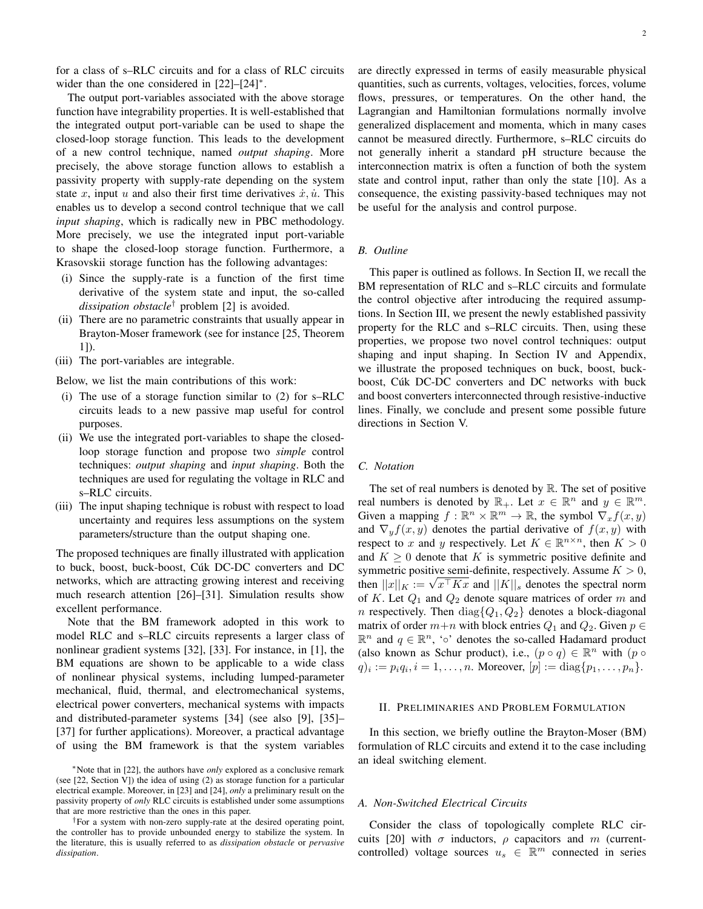for a class of s–RLC circuits and for a class of RLC circuits wider than the one considered in [22]–[24]<sup>∗</sup>.

The output port-variables associated with the above storage function have integrability properties. It is well-established that the integrated output port-variable can be used to shape the closed-loop storage function. This leads to the development of a new control technique, named *output shaping*. More precisely, the above storage function allows to establish a passivity property with supply-rate depending on the system state x, input u and also their first time derivatives  $\dot{x}, \dot{u}$ . This enables us to develop a second control technique that we call *input shaping*, which is radically new in PBC methodology. More precisely, we use the integrated input port-variable to shape the closed-loop storage function. Furthermore, a Krasovskii storage function has the following advantages:

- (i) Since the supply-rate is a function of the first time derivative of the system state and input, the so-called *dissipation obstacle*† problem [2] is avoided.
- (ii) There are no parametric constraints that usually appear in Brayton-Moser framework (see for instance [25, Theorem 1]).
- (iii) The port-variables are integrable.

Below, we list the main contributions of this work:

- (i) The use of a storage function similar to (2) for s–RLC circuits leads to a new passive map useful for control purposes.
- (ii) We use the integrated port-variables to shape the closedloop storage function and propose two *simple* control techniques: *output shaping* and *input shaping*. Both the techniques are used for regulating the voltage in RLC and s–RLC circuits.
- (iii) The input shaping technique is robust with respect to load uncertainty and requires less assumptions on the system parameters/structure than the output shaping one.

The proposed techniques are finally illustrated with application to buck, boost, buck-boost, Cúk DC-DC converters and DC networks, which are attracting growing interest and receiving much research attention [26]–[31]. Simulation results show excellent performance.

Note that the BM framework adopted in this work to model RLC and s–RLC circuits represents a larger class of nonlinear gradient systems [32], [33]. For instance, in [1], the BM equations are shown to be applicable to a wide class of nonlinear physical systems, including lumped-parameter mechanical, fluid, thermal, and electromechanical systems, electrical power converters, mechanical systems with impacts and distributed-parameter systems [34] (see also [9], [35]– [37] for further applications). Moreover, a practical advantage of using the BM framework is that the system variables are directly expressed in terms of easily measurable physical quantities, such as currents, voltages, velocities, forces, volume flows, pressures, or temperatures. On the other hand, the Lagrangian and Hamiltonian formulations normally involve generalized displacement and momenta, which in many cases cannot be measured directly. Furthermore, s–RLC circuits do not generally inherit a standard pH structure because the interconnection matrix is often a function of both the system state and control input, rather than only the state [10]. As a consequence, the existing passivity-based techniques may not be useful for the analysis and control purpose.

# *B. Outline*

This paper is outlined as follows. In Section II, we recall the BM representation of RLC and s–RLC circuits and formulate the control objective after introducing the required assumptions. In Section III, we present the newly established passivity property for the RLC and s–RLC circuits. Then, using these properties, we propose two novel control techniques: output shaping and input shaping. In Section IV and Appendix, we illustrate the proposed techniques on buck, boost, buckboost, Cúk DC-DC converters and DC networks with buck and boost converters interconnected through resistive-inductive lines. Finally, we conclude and present some possible future directions in Section V.

## *C. Notation*

The set of real numbers is denoted by  $\mathbb R$ . The set of positive real numbers is denoted by  $\mathbb{R}_+$ . Let  $x \in \mathbb{R}^n$  and  $y \in \mathbb{R}^m$ . Given a mapping  $f : \mathbb{R}^n \times \mathbb{R}^m \to \mathbb{R}$ , the symbol  $\nabla_x f(x, y)$ and  $\nabla_y f(x, y)$  denotes the partial derivative of  $f(x, y)$  with respect to x and y respectively. Let  $K \in \mathbb{R}^{n \times n}$ , then  $K > 0$ and  $K \geq 0$  denote that K is symmetric positive definite and symmetric positive semi-definite, respectively. Assume  $K > 0$ , then  $||x||_K := \sqrt{x^{\top}Kx}$  and  $||K||_s$  denotes the spectral norm of K. Let  $Q_1$  and  $Q_2$  denote square matrices of order m and *n* respectively. Then  $diag\{Q_1, Q_2\}$  denotes a block-diagonal matrix of order  $m+n$  with block entries  $Q_1$  and  $Q_2$ . Given  $p \in$  $\mathbb{R}^n$  and  $q \in \mathbb{R}^n$ , '∘' denotes the so-called Hadamard product (also known as Schur product), i.e.,  $(p \circ q) \in \mathbb{R}^n$  with  $(p \circ q)$  $q)_i := p_i q_i, i = 1, \dots, n$ . Moreover,  $[p] := \text{diag}\{p_1, \dots, p_n\}.$ 

## II. PRELIMINARIES AND PROBLEM FORMULATION

In this section, we briefly outline the Brayton-Moser (BM) formulation of RLC circuits and extend it to the case including an ideal switching element.

# *A. Non-Switched Electrical Circuits*

Consider the class of topologically complete RLC circuits [20] with  $\sigma$  inductors,  $\rho$  capacitors and m (currentcontrolled) voltage sources  $u_s \in \mathbb{R}^m$  connected in series

<sup>∗</sup>Note that in [22], the authors have *only* explored as a conclusive remark (see [22, Section V]) the idea of using (2) as storage function for a particular electrical example. Moreover, in [23] and [24], *only* a preliminary result on the passivity property of *only* RLC circuits is established under some assumptions that are more restrictive than the ones in this paper.

<sup>†</sup>For a system with non-zero supply-rate at the desired operating point, the controller has to provide unbounded energy to stabilize the system. In the literature, this is usually referred to as *dissipation obstacle* or *pervasive dissipation*.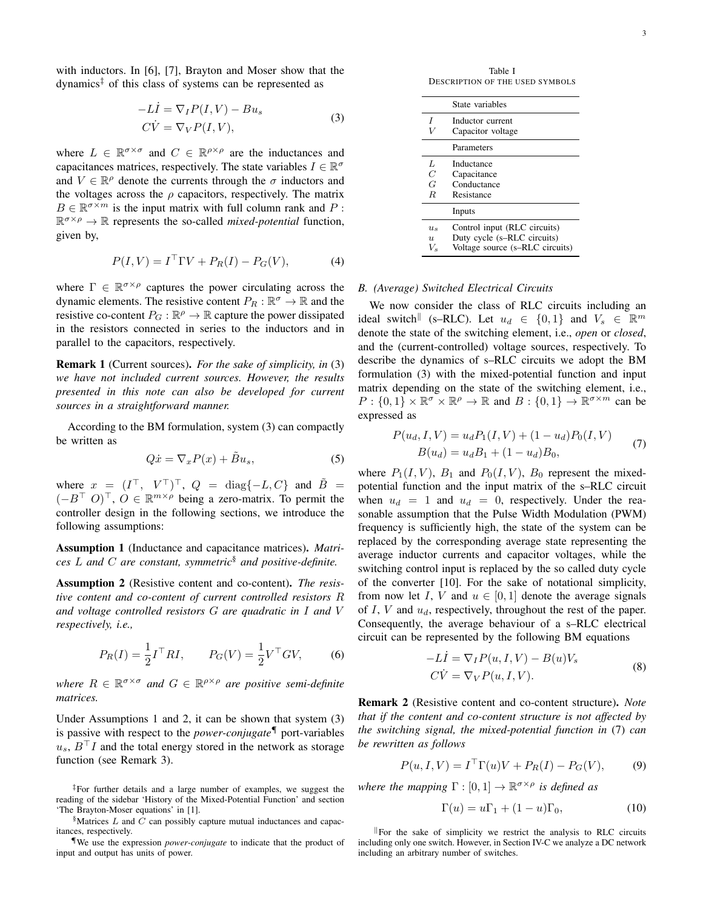with inductors. In [6], [7], Brayton and Moser show that the  $dynamics<sup>‡</sup>$  of this class of systems can be represented as

$$
-Li = \nabla_I P(I, V) - Bu_s
$$
  
\n
$$
C\dot{V} = \nabla_V P(I, V),
$$
\n(3)

where  $L \in \mathbb{R}^{\sigma \times \sigma}$  and  $C \in \mathbb{R}^{\rho \times \rho}$  are the inductances and capacitances matrices, respectively. The state variables  $I \in \mathbb{R}^{\sigma}$ and  $V \in \mathbb{R}^{\rho}$  denote the currents through the  $\sigma$  inductors and the voltages across the  $\rho$  capacitors, respectively. The matrix  $B \in \mathbb{R}^{\sigma \times m}$  is the input matrix with full column rank and P:  $\mathbb{R}^{\sigma \times \rho} \to \mathbb{R}$  represents the so-called *mixed-potential* function, given by,

$$
P(I, V) = IT \Gamma V + P_R(I) - P_G(V),
$$
 (4)

where  $\Gamma \in \mathbb{R}^{\sigma \times \rho}$  captures the power circulating across the dynamic elements. The resistive content  $P_R : \mathbb{R}^{\sigma} \to \mathbb{R}$  and the resistive co-content  $P_G : \mathbb{R}^{\rho} \to \mathbb{R}$  capture the power dissipated in the resistors connected in series to the inductors and in parallel to the capacitors, respectively.

Remark 1 (Current sources). *For the sake of simplicity, in* (3) *we have not included current sources. However, the results presented in this note can also be developed for current sources in a straightforward manner.*

According to the BM formulation, system (3) can compactly be written as

$$
Q\dot{x} = \nabla_x P(x) + \tilde{B}u_s,\tag{5}
$$

where  $x = (I^{\top}, V^{\top})^{\top}, Q = \text{diag}\{-L, C\}$  and  $\tilde{B} =$  $(-B^{\top} O)^{\top}$ ,  $O \in \mathbb{R}^{m \times \rho}$  being a zero-matrix. To permit the controller design in the following sections, we introduce the following assumptions:

Assumption 1 (Inductance and capacitance matrices). *Matrices* L *and* C *are constant, symmetric*§ *and positive-definite.*

Assumption 2 (Resistive content and co-content). *The resistive content and co-content of current controlled resistors* R *and voltage controlled resistors* G *are quadratic in* I *and* V *respectively, i.e.,*

$$
P_R(I) = \frac{1}{2}I^{\top} RI
$$
,  $P_G(V) = \frac{1}{2}V^{\top} GV$ , (6)

where  $R \in \mathbb{R}^{\sigma \times \sigma}$  and  $G \in \mathbb{R}^{\rho \times \rho}$  are positive semi-definite *matrices.*

Under Assumptions 1 and 2, it can be shown that system (3) is passive with respect to the *power-conjugate*¶ port-variables  $u_s$ ,  $B<sup>⊤</sup>I$  and the total energy stored in the network as storage function (see Remark 3).

‡For further details and a large number of examples, we suggest the reading of the sidebar 'History of the Mixed-Potential Function' and section 'The Brayton-Moser equations' in [1].

 $\Lambda$ Matrices L and C can possibly capture mutual inductances and capacitances, respectively.

¶We use the expression *power-conjugate* to indicate that the product of input and output has units of power.

Table I DESCRIPTION OF THE USED SYMBOLS

|                                          | State variables                                                                                |
|------------------------------------------|------------------------------------------------------------------------------------------------|
| I                                        | Inductor current<br>Capacitor voltage                                                          |
|                                          | Parameters                                                                                     |
| Τ.<br>C<br>G<br>R.                       | Inductance<br>Capacitance<br>Conductance<br>Resistance                                         |
|                                          | Inputs                                                                                         |
| $u_{s}$<br>$\overline{\mathbf{u}}$<br>V. | Control input (RLC circuits)<br>Duty cycle (s-RLC circuits)<br>Voltage source (s-RLC circuits) |

# *B. (Average) Switched Electrical Circuits*

We now consider the class of RLC circuits including an ideal switch<sup>||</sup> (s–RLC). Let  $u_d \in \{0, 1\}$  and  $V_s \in \mathbb{R}^m$ denote the state of the switching element, i.e., *open* or *closed*, and the (current-controlled) voltage sources, respectively. To describe the dynamics of s–RLC circuits we adopt the BM formulation (3) with the mixed-potential function and input matrix depending on the state of the switching element, i.e.,  $P: \{0,1\} \times \mathbb{R}^{\sigma} \times \mathbb{R}^{\rho} \to \mathbb{R}$  and  $B: \{0,1\} \to \mathbb{R}^{\sigma \times m}$  can be expressed as

$$
P(u_d, I, V) = u_d P_1(I, V) + (1 - u_d) P_0(I, V)
$$
  
\n
$$
B(u_d) = u_d B_1 + (1 - u_d) B_0,
$$
\n(7)

where  $P_1(I, V)$ ,  $B_1$  and  $P_0(I, V)$ ,  $B_0$  represent the mixedpotential function and the input matrix of the s–RLC circuit when  $u_d = 1$  and  $u_d = 0$ , respectively. Under the reasonable assumption that the Pulse Width Modulation (PWM) frequency is sufficiently high, the state of the system can be replaced by the corresponding average state representing the average inductor currents and capacitor voltages, while the switching control input is replaced by the so called duty cycle of the converter [10]. For the sake of notational simplicity, from now let I, V and  $u \in [0, 1]$  denote the average signals of  $I, V$  and  $u_d$ , respectively, throughout the rest of the paper. Consequently, the average behaviour of a s–RLC electrical circuit can be represented by the following BM equations

$$
-LI = \nabla_I P(u, I, V) - B(u)V_s
$$
  
\n
$$
C\dot{V} = \nabla_V P(u, I, V).
$$
\n(8)

Remark 2 (Resistive content and co-content structure). *Note that if the content and co-content structure is not affected by the switching signal, the mixed-potential function in* (7) *can be rewritten as follows*

$$
P(u, I, V) = IT \Gamma(u)V + P_R(I) - P_G(V),
$$
 (9)

*where the mapping*  $\Gamma : [0,1] \to \mathbb{R}^{\sigma \times \rho}$  *is defined as* 

$$
\Gamma(u) = u\Gamma_1 + (1 - u)\Gamma_0,\tag{10}
$$

 $\mathbb{F}$  For the sake of simplicity we restrict the analysis to RLC circuits including only one switch. However, in Section IV-C we analyze a DC network including an arbitrary number of switches.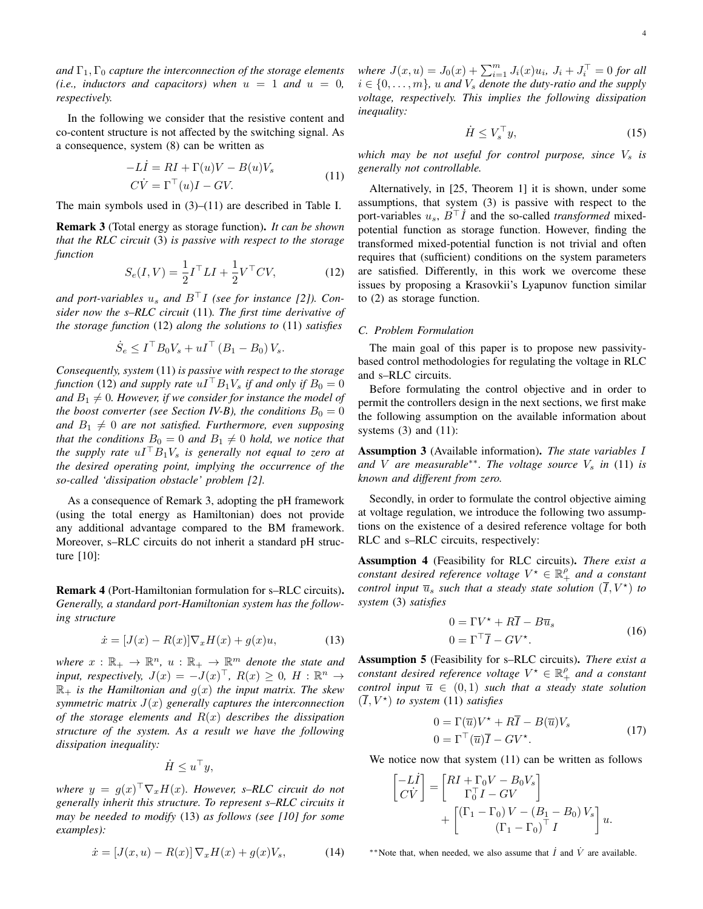*and*  $\Gamma_1, \Gamma_0$  *capture the interconnection of the storage elements (i.e., inductors and capacitors) when*  $u = 1$  *and*  $u = 0$ , *respectively.*

In the following we consider that the resistive content and co-content structure is not affected by the switching signal. As a consequence, system (8) can be written as

$$
-LI = RI + \Gamma(u)V - B(u)V_s
$$
  
\n
$$
C\dot{V} = \Gamma^{\top}(u)I - GV.
$$
\n(11)

The main symbols used in  $(3)$ – $(11)$  are described in Table I.

Remark 3 (Total energy as storage function). *It can be shown that the RLC circuit* (3) *is passive with respect to the storage function*

$$
S_e(I, V) = \frac{1}{2}I^{\top}LI + \frac{1}{2}V^{\top}CV,
$$
 (12)

*and port-variables*  $u_s$  *and*  $B<sup>T</sup>I$  *(see for instance [2]). Consider now the s–RLC circuit* (11)*. The first time derivative of the storage function* (12) *along the solutions to* (11) *satisfies*

$$
\dot{S}_e \le I^\top B_0 V_s + uI^\top (B_1 - B_0) V_s.
$$

*Consequently, system* (11) *is passive with respect to the storage function* (12) *and supply rate*  $uI^{\top}B_1V_s$  *if and only if*  $B_0 = 0$ and  $B_1 \neq 0$ . However, if we consider for instance the model of *the boost converter (see Section IV-B), the conditions*  $B_0 = 0$ and  $B_1 \neq 0$  are not satisfied. Furthermore, even supposing *that the conditions*  $B_0 = 0$  *and*  $B_1 \neq 0$  *hold, we notice that the supply rate*  $uI^{\top}B_1V_s$  *is generally not equal to zero at the desired operating point, implying the occurrence of the so-called 'dissipation obstacle' problem [2].*

As a consequence of Remark 3, adopting the pH framework (using the total energy as Hamiltonian) does not provide any additional advantage compared to the BM framework. Moreover, s–RLC circuits do not inherit a standard pH structure [10]:

Remark 4 (Port-Hamiltonian formulation for s–RLC circuits). *Generally, a standard port-Hamiltonian system has the following structure*

$$
\dot{x} = [J(x) - R(x)]\nabla_x H(x) + g(x)u,\tag{13}
$$

where  $x : \mathbb{R}_+ \to \mathbb{R}^n$ ,  $u : \mathbb{R}_+ \to \mathbb{R}^m$  *denote the state and input, respectively,*  $J(x) = -J(x)^\top$ ,  $R(x) \geq 0$ ,  $H : \mathbb{R}^n \to$  $\mathbb{R}_+$  *is the Hamiltonian and*  $g(x)$  *the input matrix. The skew symmetric matrix* J(x) *generally captures the interconnection of the storage elements and* R(x) *describes the dissipation structure of the system. As a result we have the following dissipation inequality:*

$$
\dot{H} \leq u^{\top}y,
$$

where  $y = g(x)^\top \nabla_x H(x)$ . However, s–RLC circuit do not *generally inherit this structure. To represent s–RLC circuits it may be needed to modify* (13) *as follows (see [10] for some examples):*

$$
\dot{x} = [J(x, u) - R(x)] \nabla_x H(x) + g(x) V_s,
$$
 (14)

*where*  $J(x, u) = J_0(x) + \sum_{i=1}^{m} J_i(x)u_i, J_i + J_i^{T} = 0$  *for all*  $i \in \{0, \ldots, m\}$ , u and  $V_s$  denote the duty-ratio and the supply *voltage, respectively. This implies the following dissipation inequality:*

$$
\dot{H} \le V_s^\top y,\tag{15}
$$

*which may be not useful for control purpose, since*  $V_s$  *is generally not controllable.*

Alternatively, in [25, Theorem 1] it is shown, under some assumptions, that system (3) is passive with respect to the port-variables  $u_s$ ,  $B<sup>T</sup> I$  and the so-called *transformed* mixedpotential function as storage function. However, finding the transformed mixed-potential function is not trivial and often requires that (sufficient) conditions on the system parameters are satisfied. Differently, in this work we overcome these issues by proposing a Krasovkii's Lyapunov function similar to (2) as storage function.

## *C. Problem Formulation*

The main goal of this paper is to propose new passivitybased control methodologies for regulating the voltage in RLC and s–RLC circuits.

Before formulating the control objective and in order to permit the controllers design in the next sections, we first make the following assumption on the available information about systems  $(3)$  and  $(11)$ :

Assumption 3 (Available information). *The state variables* I *and V are measurable<sup>∗</sup><sup>\*</sup>. The voltage source*  $V_s$  *in* (11) *is known and different from zero.*

Secondly, in order to formulate the control objective aiming at voltage regulation, we introduce the following two assumptions on the existence of a desired reference voltage for both RLC and s–RLC circuits, respectively:

Assumption 4 (Feasibility for RLC circuits). *There exist a constant desired reference voltage*  $V^* \in \mathbb{R}_+^{\rho}$  *and a constant control input*  $\overline{u}_s$  *such that a steady state solution*  $(\overline{I}, V^{\star})$  *to system* (3) *satisfies*

$$
0 = \Gamma V^* + R\overline{I} - B\overline{u}_s
$$
  
\n
$$
0 = \Gamma^\top \overline{I} - GV^*.
$$
\n(16)

Assumption 5 (Feasibility for s–RLC circuits). *There exist a constant desired reference voltage*  $V^* \in \mathbb{R}_+^{\rho}$  *and a constant control input*  $\overline{u} \in (0,1)$  *such that a steady state solution*  $(\overline{I}, V^{\star})$  *to system* (11) *satisfies* 

$$
0 = \Gamma(\overline{u})V^* + R\overline{I} - B(\overline{u})V_s
$$
  
\n
$$
0 = \Gamma^{\top}(\overline{u})\overline{I} - GV^*.
$$
\n(17)

We notice now that system  $(11)$  can be written as follows

$$
\begin{bmatrix} -LI \\ C\dot{V} \end{bmatrix} = \begin{bmatrix} RI + \Gamma_0 V - B_0 V_s \\ \Gamma_0^\top I - GV \end{bmatrix} + \begin{bmatrix} (\Gamma_1 - \Gamma_0) V - (B_1 - B_0) V_s \\ (\Gamma_1 - \Gamma_0)^\top I \end{bmatrix} u.
$$

<sup>\*\*</sup>Note that, when needed, we also assume that  $\dot{I}$  and  $\dot{V}$  are available.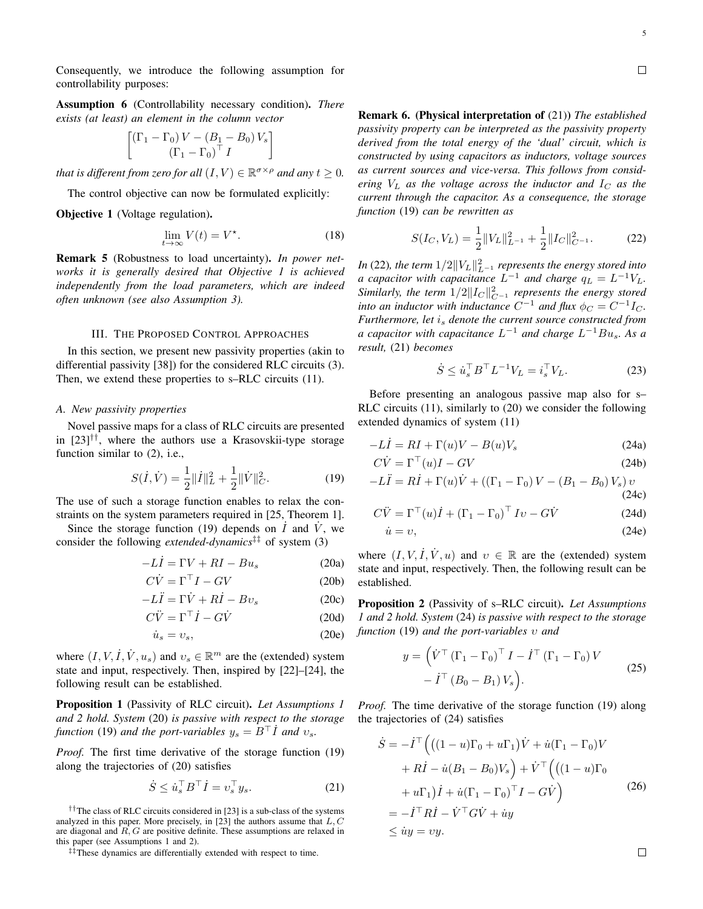Consequently, we introduce the following assumption for controllability purposes:

Assumption 6 (Controllability necessary condition). *There exists (at least) an element in the column vector*

$$
\begin{bmatrix}\n(\Gamma_1 - \Gamma_0) V - (B_1 - B_0) V_s \\
(\Gamma_1 - \Gamma_0)^\top I\n\end{bmatrix}
$$

*that is different from zero for all*  $(I, V) \in \mathbb{R}^{\sigma \times \rho}$  *and any*  $t \geq 0$ *.* 

The control objective can now be formulated explicitly:

Objective 1 (Voltage regulation).

$$
\lim_{t \to \infty} V(t) = V^*.
$$
\n(18)

Remark 5 (Robustness to load uncertainty). *In power networks it is generally desired that Objective 1 is achieved independently from the load parameters, which are indeed often unknown (see also Assumption 3).*

# III. THE PROPOSED CONTROL APPROACHES

In this section, we present new passivity properties (akin to differential passivity [38]) for the considered RLC circuits (3). Then, we extend these properties to s–RLC circuits  $(11)$ .

# *A. New passivity properties*

Novel passive maps for a class of RLC circuits are presented in  $[23]$ <sup>††</sup>, where the authors use a Krasovskii-type storage function similar to  $(2)$ , i.e.,

$$
S(\dot{I}, \dot{V}) = \frac{1}{2} ||\dot{I}||_{L}^{2} + \frac{1}{2} ||\dot{V}||_{C}^{2}.
$$
 (19)

The use of such a storage function enables to relax the constraints on the system parameters required in [25, Theorem 1].

Since the storage function (19) depends on  $\dot{I}$  and  $\dot{V}$ , we consider the following *extended-dynamics*‡‡ of system (3)

$$
-L\dot{I} = \Gamma V + RI - Bu_s \tag{20a}
$$

$$
C\dot{V} = \Gamma^{\top}I - GV \tag{20b}
$$

$$
-L\ddot{I} = \Gamma \dot{V} + R\dot{I} - Bv_s \tag{20c}
$$

$$
C\ddot{V} = \Gamma^{\top} \dot{I} - G\dot{V}
$$
 (20d)

$$
\dot{u}_s = v_s,\tag{20e}
$$

where  $(I, V, I, V, u_s)$  and  $v_s \in \mathbb{R}^m$  are the (extended) system state and input, respectively. Then, inspired by [22]–[24], the following result can be established.

Proposition 1 (Passivity of RLC circuit). *Let Assumptions 1 and 2 hold. System* (20) *is passive with respect to the storage function* (19) *and the port-variables*  $y_s = B^{\top} \dot{I}$  *and*  $v_s$ *.* 

*Proof.* The first time derivative of the storage function (19) along the trajectories of (20) satisfies

$$
\dot{S} \le \dot{u}_s^\top B^\top \dot{I} = v_s^\top y_s. \tag{21}
$$

††The class of RLC circuits considered in [23] is a sub-class of the systems analyzed in this paper. More precisely, in [23] the authors assume that  $L, C$ are diagonal and  $R$ ,  $G$  are positive definite. These assumptions are relaxed in this paper (see Assumptions 1 and 2).

‡‡These dynamics are differentially extended with respect to time.

Remark 6. (Physical interpretation of (21)) *The established passivity property can be interpreted as the passivity property derived from the total energy of the 'dual' circuit, which is constructed by using capacitors as inductors, voltage sources as current sources and vice-versa. This follows from considering*  $V_L$  *as the voltage across the inductor and*  $I_C$  *as the current through the capacitor. As a consequence, the storage function* (19) *can be rewritten as*

$$
S(I_C, V_L) = \frac{1}{2} ||V_L||_{L^{-1}}^2 + \frac{1}{2} ||I_C||_{C^{-1}}^2.
$$
 (22)

*In* (22), the term  $1/2||V_L||^2_{L^{-1}}$  represents the energy stored into *a* capacitor with capacitance  $L^{-1}$  and charge  $q_L = L^{-1}V_L$ . *Similarly, the term*  $1/2$ || $I_C$ || $^2$ <sub>*C*−1</sub> *represents the energy stored into an inductor with inductance*  $C^{-1}$  *and flux*  $\phi_C = C^{-1}I_C$ *. Furthermore, let* i<sup>s</sup> *denote the current source constructed from a capacitor with capacitance*  $L^{-1}$  *and charge*  $L^{-1}Bu_s$ *. As a result,* (21) *becomes*

$$
\dot{S} \le \dot{u}_s^\top B^\top L^{-1} V_L = i_s^\top V_L. \tag{23}
$$

Before presenting an analogous passive map also for s– RLC circuits (11), similarly to (20) we consider the following extended dynamics of system (11)

$$
-L\dot{I} = RI + \Gamma(u)V - B(u)V_s \tag{24a}
$$

$$
C\dot{V} = \Gamma^{\top}(u)I - GV \tag{24b}
$$

$$
-L\ddot{I} = R\dot{I} + \Gamma(u)\dot{V} + \left(\left(\Gamma_1 - \Gamma_0\right)V - \left(B_1 - B_0\right)V_s\right)v
$$
\n(24c)

$$
C\ddot{V} = \Gamma^{\top}(u)\dot{I} + (\Gamma_1 - \Gamma_0)^{\top} Iv - G\dot{V}
$$
 (24d)

$$
\dot{u} = v,\tag{24e}
$$

where  $(I, V, \dot{I}, \dot{V}, u)$  and  $v \in \mathbb{R}$  are the (extended) system state and input, respectively. Then, the following result can be established.

Proposition 2 (Passivity of s–RLC circuit). *Let Assumptions 1 and 2 hold. System* (24) *is passive with respect to the storage function* (19) *and the port-variables* υ *and*

$$
y = \left(\dot{V}^{\top} \left(\Gamma_1 - \Gamma_0\right)^{\top} I - \dot{I}^{\top} \left(\Gamma_1 - \Gamma_0\right) V - \dot{I}^{\top} \left(B_0 - B_1\right) V_s\right).
$$
\n(25)

*Proof.* The time derivative of the storage function (19) along the trajectories of (24) satisfies

$$
\dot{S} = -\dot{I}^{\top} \Big( \big( (1 - u)\Gamma_0 + u\Gamma_1 \big) \dot{V} + \dot{u} (\Gamma_1 - \Gamma_0) V \n+ R\dot{I} - \dot{u} (B_1 - B_0) V_s \Big) + \dot{V}^{\top} \Big( \big( (1 - u)\Gamma_0 \n+ u\Gamma_1 \big) \dot{I} + \dot{u} (\Gamma_1 - \Gamma_0)^{\top} I - G\dot{V} \Big) \n= -\dot{I}^{\top} R\dot{I} - \dot{V}^{\top} G\dot{V} + \dot{u}y \n\le \dot{u}y = vy.
$$
\n(26)

 $\Box$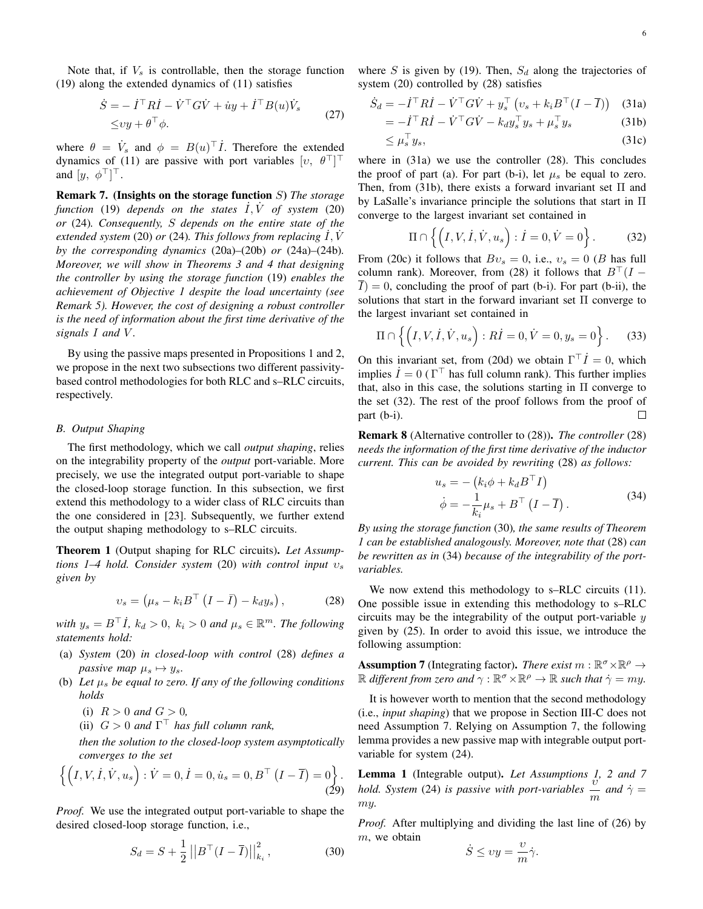Note that, if  $V_s$  is controllable, then the storage function (19) along the extended dynamics of (11) satisfies

$$
\dot{S} = -\dot{I}^\top R \dot{I} - \dot{V}^\top G \dot{V} + \dot{u}y + \dot{I}^\top B(u) \dot{V}_s
$$
  
\n
$$
\leq v y + \theta^\top \phi.
$$
\n(27)

where  $\theta = \dot{V}_s$  and  $\phi = B(u)^{\top} \dot{I}$ . Therefore the extended dynamics of (11) are passive with port variables  $[v, \theta^\top]^\top$ and  $[y, \phi^\top]^\top$ .

Remark 7. (Insights on the storage function S) *The storage function* (19) *depends on the states*  $\overline{I}$ ,  $\overline{V}$  *of system* (20) *or* (24)*. Consequently,* S *depends on the entire state of the extended system* (20) *or* (24). This follows from replacing  $\overline{I}$ ,  $\overline{V}$ *by the corresponding dynamics* (20a)*–*(20b) *or* (24a)*–*(24b)*. Moreover, we will show in Theorems 3 and 4 that designing the controller by using the storage function* (19) *enables the achievement of Objective 1 despite the load uncertainty (see Remark 5). However, the cost of designing a robust controller is the need of information about the first time derivative of the signals* I *and* V *.*

By using the passive maps presented in Propositions 1 and 2, we propose in the next two subsections two different passivitybased control methodologies for both RLC and s–RLC circuits, respectively.

# *B. Output Shaping*

The first methodology, which we call *output shaping*, relies on the integrability property of the *output* port-variable. More precisely, we use the integrated output port-variable to shape the closed-loop storage function. In this subsection, we first extend this methodology to a wider class of RLC circuits than the one considered in [23]. Subsequently, we further extend the output shaping methodology to s–RLC circuits.

Theorem 1 (Output shaping for RLC circuits). *Let Assumptions 1–4 hold. Consider system* (20) *with control input* υ<sup>s</sup> *given by*

$$
v_s = \left(\mu_s - k_i B^\top \left(I - \bar{I}\right) - k_d y_s\right),\tag{28}
$$

*with*  $y_s = B^{\top} \dot{I}$ ,  $k_d > 0$ ,  $k_i > 0$  *and*  $\mu_s \in \mathbb{R}^m$ . *The following statements hold:*

- (a) *System* (20) *in closed-loop with control* (28) *defines a passive map*  $\mu_s \mapsto y_s$ .
- (b) Let  $\mu_s$  be equal to zero. If any of the following conditions *holds*
	- (i)  $R > 0$  *and*  $G > 0$ ,
	- (ii)  $G > 0$  *and*  $\Gamma$ <sup>T</sup> *has full column rank*,

*then the solution to the closed-loop system asymptotically converges to the set*

$$
\left\{ \left( I, V, \dot{I}, \dot{V}, u_s \right) : \dot{V} = 0, \dot{I} = 0, \dot{u}_s = 0, B^{\top} \left( I - \overline{I} \right) = 0 \right\}.
$$
\n(29)

*Proof.* We use the integrated output port-variable to shape the desired closed-loop storage function, i.e.,

$$
S_d = S + \frac{1}{2} ||B^\top (I - \overline{I})||_{k_i}^2, \qquad (30)
$$

where S is given by (19). Then,  $S_d$  along the trajectories of system (20) controlled by (28) satisfies

$$
\dot{S}_d = -\dot{I}^\top R \dot{I} - \dot{V}^\top G \dot{V} + y_s^\top \left(v_s + k_i B^\top (I - \overline{I})\right)
$$
 (31a)

$$
= -\dot{I}^\top R \dot{I} - \dot{V}^\top G \dot{V} - k_d y_s^\top y_s + \mu_s^\top y_s \tag{31b}
$$

$$
\leq \mu_s^{\top} y_s,\tag{31c}
$$

where in (31a) we use the controller (28). This concludes the proof of part (a). For part (b-i), let  $\mu_s$  be equal to zero. Then, from (31b), there exists a forward invariant set  $\Pi$  and by LaSalle's invariance principle the solutions that start in Π converge to the largest invariant set contained in

$$
\Pi \cap \left\{ \left( I, V, \dot{I}, \dot{V}, u_s \right) : \dot{I} = 0, \dot{V} = 0 \right\}.
$$
 (32)

From (20c) it follows that  $Bv_s = 0$ , i.e.,  $v_s = 0$  (B has full column rank). Moreover, from (28) it follows that  $B^{\top}(I \overline{I}$ ) = 0, concluding the proof of part (b-i). For part (b-ii), the solutions that start in the forward invariant set Π converge to the largest invariant set contained in

$$
\Pi \cap \left\{ \left( I, V, I, \dot{V}, u_s \right) : R \dot{I} = 0, \dot{V} = 0, y_s = 0 \right\}.
$$
 (33)

On this invariant set, from (20d) we obtain  $\Gamma^{\top} \dot{I} = 0$ , which implies  $\dot{I} = 0 \, (\Gamma^{\top})$  has full column rank). This further implies that, also in this case, the solutions starting in  $\Pi$  converge to the set (32). The rest of the proof follows from the proof of part (b-i).  $\Box$ 

Remark 8 (Alternative controller to (28)). *The controller* (28) *needs the information of the first time derivative of the inductor current. This can be avoided by rewriting* (28) *as follows:*

$$
u_s = -\left(k_i \phi + k_d B^\top I\right)
$$
  
\n
$$
\dot{\phi} = -\frac{1}{k_i} \mu_s + B^\top \left(I - \overline{I}\right).
$$
\n(34)

*By using the storage function* (30)*, the same results of Theorem 1 can be established analogously. Moreover, note that* (28) *can be rewritten as in* (34) *because of the integrability of the portvariables.*

We now extend this methodology to s–RLC circuits  $(11)$ . One possible issue in extending this methodology to s–RLC circuits may be the integrability of the output port-variable  $y$ given by (25). In order to avoid this issue, we introduce the following assumption:

**Assumption 7** (Integrating factor). *There exist*  $m : \mathbb{R}^{\sigma} \times \mathbb{R}^{\rho} \to$  $\mathbb R$  *different from zero and*  $\gamma : \mathbb R^{\sigma} \times \mathbb R^{\rho} \to \mathbb R$  *such that*  $\dot{\gamma} = my$ .

It is however worth to mention that the second methodology (i.e., *input shaping*) that we propose in Section III-C does not need Assumption 7. Relying on Assumption 7, the following lemma provides a new passive map with integrable output portvariable for system (24).

**Lemma 1** (Integrable output). *Let Assumptions 1, 2 and 7 hold. System* (24) *is passive with port-variables*  $\frac{v}{m}$  *and*  $\dot{\gamma} = m$ my*.*

*Proof.* After multiplying and dividing the last line of (26) by  $m$ , we obtain

$$
\dot{S} \le vy = \frac{v}{m}\dot{\gamma}.
$$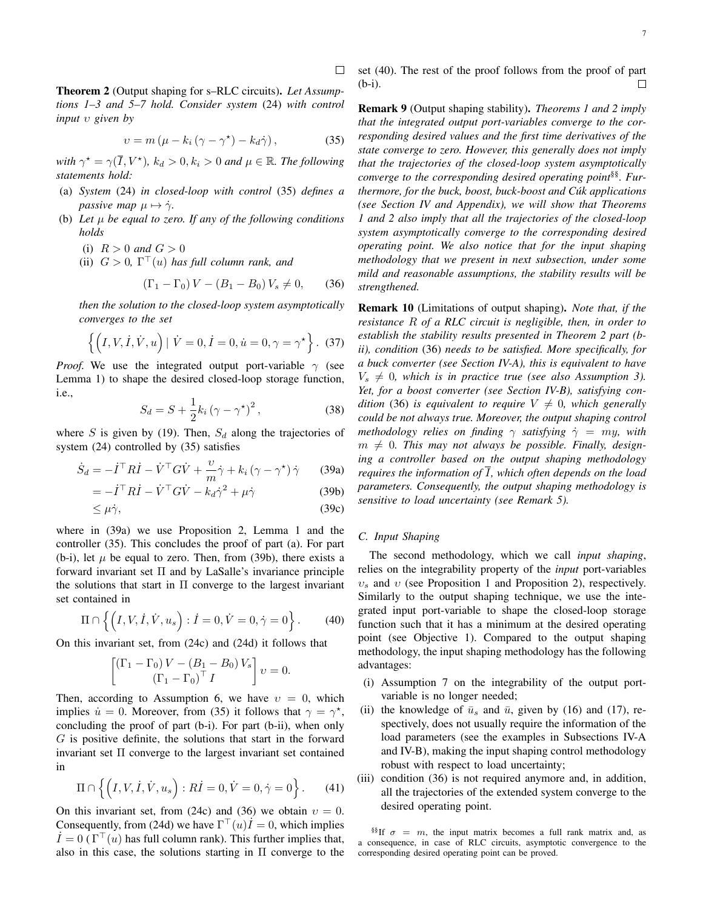Theorem 2 (Output shaping for s–RLC circuits). *Let Assumptions 1–3 and 5–7 hold. Consider system* (24) *with control input* υ *given by*

$$
v = m\left(\mu - k_i\left(\gamma - \gamma^* \right) - k_d \dot{\gamma}\right),\tag{35}
$$

 $\Box$ 

*with*  $\gamma^* = \gamma(\overline{I}, V^*)$ ,  $k_d > 0$ ,  $k_i > 0$  *and*  $\mu \in \mathbb{R}$ *. The following statements hold:*

- (a) *System* (24) *in closed-loop with control* (35) *defines a passive map*  $\mu \mapsto \dot{\gamma}$ .
- (b) Let  $\mu$  be equal to zero. If any of the following conditions *holds*
	- (i)  $R > 0$  *and*  $G > 0$
	- (ii)  $G > 0$ ,  $\Gamma^{\top}(u)$  has full column rank, and

$$
(\Gamma_1 - \Gamma_0) V - (B_1 - B_0) V_s \neq 0, \qquad (36)
$$

*then the solution to the closed-loop system asymptotically converges to the set*

$$
\{ (I, V, I, \dot{V}, u) | \dot{V} = 0, \dot{I} = 0, \dot{u} = 0, \gamma = \gamma^* \}.
$$
 (37)

*Proof.* We use the integrated output port-variable  $\gamma$  (see Lemma 1) to shape the desired closed-loop storage function, i.e.,

$$
S_d = S + \frac{1}{2}k_i\left(\gamma - \gamma^{\star}\right)^2,\tag{38}
$$

where S is given by (19). Then,  $S_d$  along the trajectories of system (24) controlled by (35) satisfies

$$
\dot{S}_d = -\dot{I}^\top R \dot{I} - \dot{V}^\top G \dot{V} + \frac{v}{m} \dot{\gamma} + k_i (\gamma - \gamma^*) \dot{\gamma} \qquad (39a)
$$

$$
= -\dot{I}^\top R \dot{I} - \dot{V}^\top G \dot{V} - k_d \dot{\gamma}^2 + \mu \dot{\gamma}
$$
 (39b)

$$
\leq \mu \dot{\gamma},\tag{39c}
$$

where in (39a) we use Proposition 2, Lemma 1 and the controller (35). This concludes the proof of part (a). For part (b-i), let  $\mu$  be equal to zero. Then, from (39b), there exists a forward invariant set Π and by LaSalle's invariance principle the solutions that start in  $\Pi$  converge to the largest invariant set contained in

$$
\Pi \cap \left\{ \left( I, V, \dot{I}, \dot{V}, u_s \right) : \dot{I} = 0, \dot{V} = 0, \dot{\gamma} = 0 \right\}.
$$
 (40)

On this invariant set, from (24c) and (24d) it follows that

$$
\begin{bmatrix}\n(\Gamma_1 - \Gamma_0) V - (B_1 - B_0) V_s \\
(\Gamma_1 - \Gamma_0)^\top I\n\end{bmatrix} v = 0.
$$

Then, according to Assumption 6, we have  $v = 0$ , which implies  $\dot{u} = 0$ . Moreover, from (35) it follows that  $\gamma = \gamma^*$ , concluding the proof of part (b-i). For part (b-ii), when only  $G$  is positive definite, the solutions that start in the forward invariant set  $\Pi$  converge to the largest invariant set contained in

$$
\Pi \cap \left\{ \left( I, V, \dot{I}, \dot{V}, u_s \right) : R\dot{I} = 0, \dot{V} = 0, \dot{\gamma} = 0 \right\}.
$$
 (41)

On this invariant set, from (24c) and (36) we obtain  $v = 0$ . Consequently, from (24d) we have  $\Gamma^{\top}(u)\dot{I}=0$ , which implies  $I = 0 \, (\Gamma^{\top}(u))$  has full column rank). This further implies that, also in this case, the solutions starting in Π converge to the set (40). The rest of the proof follows from the proof of part (b-i). □

Remark 9 (Output shaping stability). *Theorems 1 and 2 imply that the integrated output port-variables converge to the corresponding desired values and the first time derivatives of the state converge to zero. However, this generally does not imply that the trajectories of the closed-loop system asymptotically converge to the corresponding desired operating point*§§*. Furthermore, for the buck, boost, buck-boost and Cúk applications (see Section IV and Appendix), we will show that Theorems 1 and 2 also imply that all the trajectories of the closed-loop system asymptotically converge to the corresponding desired operating point. We also notice that for the input shaping methodology that we present in next subsection, under some mild and reasonable assumptions, the stability results will be strengthened.*

Remark 10 (Limitations of output shaping). *Note that, if the resistance* R *of a RLC circuit is negligible, then, in order to establish the stability results presented in Theorem 2 part (bii), condition* (36) *needs to be satisfied. More specifically, for a buck converter (see Section IV-A), this is equivalent to have*  $V_s \neq 0$ , which is in practice true (see also Assumption 3). *Yet, for a boost converter (see Section IV-B), satisfying condition* (36) *is equivalent to require*  $V \neq 0$ *, which generally could be not always true. Moreover, the output shaping control methodology relies on finding*  $\gamma$  *satisfying*  $\dot{\gamma} = my$ *, with*  $m \neq 0$ . This may not always be possible. Finally, design*ing a controller based on the output shaping methodology requires the information of*  $\overline{I}$ *, which often depends on the load parameters. Consequently, the output shaping methodology is sensitive to load uncertainty (see Remark 5).*

# *C. Input Shaping*

The second methodology, which we call *input shaping*, relies on the integrability property of the *input* port-variables  $v<sub>s</sub>$  and v (see Proposition 1 and Proposition 2), respectively. Similarly to the output shaping technique, we use the integrated input port-variable to shape the closed-loop storage function such that it has a minimum at the desired operating point (see Objective 1). Compared to the output shaping methodology, the input shaping methodology has the following advantages:

- (i) Assumption 7 on the integrability of the output portvariable is no longer needed;
- (ii) the knowledge of  $\bar{u}_s$  and  $\bar{u}$ , given by (16) and (17), respectively, does not usually require the information of the load parameters (see the examples in Subsections IV-A and IV-B), making the input shaping control methodology robust with respect to load uncertainty;
- (iii) condition (36) is not required anymore and, in addition, all the trajectories of the extended system converge to the desired operating point.

§§If  $\sigma = m$ , the input matrix becomes a full rank matrix and, as a consequence, in case of RLC circuits, asymptotic convergence to the corresponding desired operating point can be proved.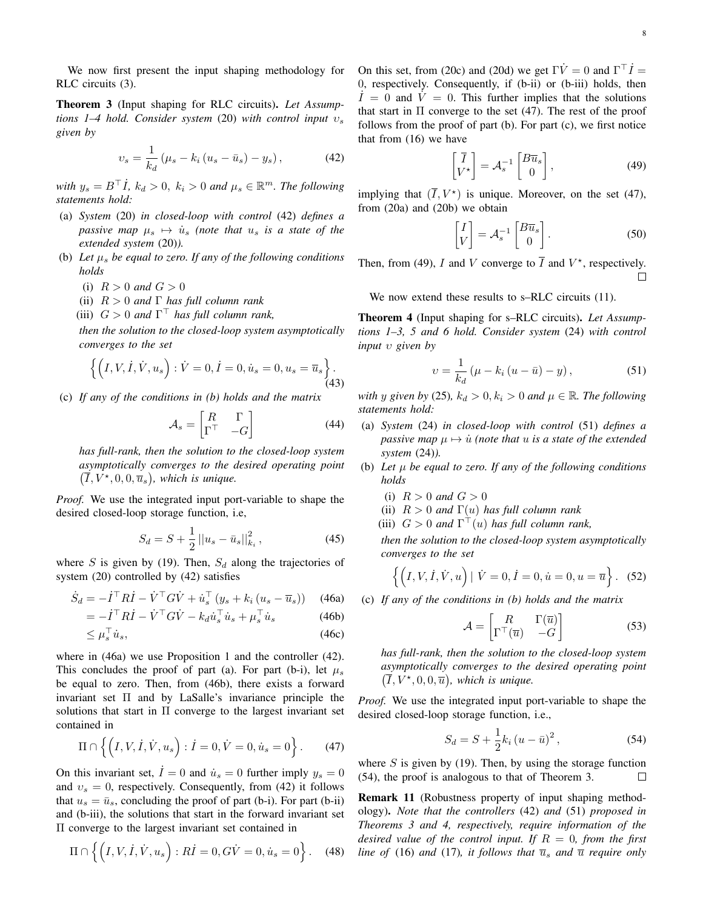We now first present the input shaping methodology for RLC circuits (3).

Theorem 3 (Input shaping for RLC circuits). *Let Assumptions 1–4 hold. Consider system* (20) *with control input* υ<sup>s</sup> *given by*

$$
v_s = \frac{1}{k_d} \left( \mu_s - k_i \left( u_s - \bar{u}_s \right) - y_s \right), \tag{42}
$$

*with*  $y_s = B^{\top} \dot{I}$ ,  $k_d > 0$ ,  $k_i > 0$  *and*  $\mu_s \in \mathbb{R}^m$ . *The following statements hold:*

- (a) *System* (20) *in closed-loop with control* (42) *defines a passive map*  $\mu_s \mapsto \dot{u}_s$  *(note that*  $u_s$  *is a state of the extended system* (20)*).*
- (b) Let  $\mu_s$  be equal to zero. If any of the following conditions *holds*
	- (i)  $R > 0$  *and*  $G > 0$
	- (ii) R > 0 *and* Γ *has full column rank*
	- (iii)  $G > 0$  *and*  $\Gamma^{\top}$  *has full column rank*,

*then the solution to the closed-loop system asymptotically converges to the set*

$$
\left\{ \left( I, V, I, \dot{V}, u_s \right) : \dot{V} = 0, \dot{I} = 0, \dot{u}_s = 0, u_s = \overline{u}_s \right\}.
$$
\n(43)

(c) *If any of the conditions in (b) holds and the matrix*

$$
\mathcal{A}_s = \begin{bmatrix} R & \Gamma \\ \Gamma^\top & -G \end{bmatrix} \tag{44}
$$

*has full-rank, then the solution to the closed-loop system asymptotically converges to the desired operating point*  $(\overline{I}, V^{\star}, 0, 0, \overline{u}_s)$ , which is unique.

*Proof.* We use the integrated input port-variable to shape the desired closed-loop storage function, i.e,

$$
S_d = S + \frac{1}{2} ||u_s - \bar{u}_s||_{k_i}^2, \qquad (45)
$$

where S is given by (19). Then,  $S_d$  along the trajectories of system (20) controlled by (42) satisfies

$$
\dot{S}_d = -\dot{I}^\top R \dot{I} - \dot{V}^\top G \dot{V} + \dot{u}_s^\top (y_s + k_i (u_s - \overline{u}_s)) \quad (46a)
$$

$$
= -\dot{I}^\top R \dot{I} - \dot{V}^\top C \dot{V} - k_i \dot{u}_s^\top \dot{u}_s + \mu \cdot \dot{u}_s \quad (46b)
$$

$$
= -\dot{I}^\top R \dot{I} - \dot{V}^\top G \dot{V} - k_d \dot{u}_s^\top \dot{u}_s + \mu_s^\top \dot{u}_s \tag{46b}
$$

$$
\leq \mu_s^\top \dot{u}_s,\tag{46c}
$$

where in (46a) we use Proposition 1 and the controller (42). This concludes the proof of part (a). For part (b-i), let  $\mu_s$ be equal to zero. Then, from (46b), there exists a forward invariant set Π and by LaSalle's invariance principle the solutions that start in  $\Pi$  converge to the largest invariant set contained in

$$
\Pi \cap \left\{ \left( I, V, \dot{I}, \dot{V}, u_s \right) : \dot{I} = 0, \dot{V} = 0, \dot{u}_s = 0 \right\}.
$$
 (47)

On this invariant set,  $\dot{I} = 0$  and  $\dot{u}_s = 0$  further imply  $y_s = 0$ and  $v_s = 0$ , respectively. Consequently, from (42) it follows that  $u_s = \bar{u}_s$ , concluding the proof of part (b-i). For part (b-ii) and (b-iii), the solutions that start in the forward invariant set Π converge to the largest invariant set contained in

$$
\Pi \cap \left\{ \left( I, V, I, \dot{V}, u_s \right) : R \dot{I} = 0, G \dot{V} = 0, \dot{u}_s = 0 \right\}.
$$
 (48)

On this set, from (20c) and (20d) we get  $\Gamma \dot{V} = 0$  and  $\Gamma^{\top} \dot{I} =$ 0, respectively. Consequently, if (b-ii) or (b-iii) holds, then  $\dot{I} = 0$  and  $\dot{V} = 0$ . This further implies that the solutions that start in  $\Pi$  converge to the set (47). The rest of the proof follows from the proof of part (b). For part (c), we first notice that from (16) we have

$$
\begin{bmatrix} \overline{I} \\ V^{\star} \end{bmatrix} = \mathcal{A}_s^{-1} \begin{bmatrix} B\overline{u}_s \\ 0 \end{bmatrix},
$$
 (49)

implying that  $(\overline{I}, V^*)$  is unique. Moreover, on the set (47), from (20a) and (20b) we obtain

$$
\begin{bmatrix} I \\ V \end{bmatrix} = \mathcal{A}_s^{-1} \begin{bmatrix} B\overline{u}_s \\ 0 \end{bmatrix} . \tag{50}
$$

Then, from (49), I and V converge to  $\overline{I}$  and  $V^*$ , respectively.  $\Box$ 

We now extend these results to s–RLC circuits  $(11)$ .

Theorem 4 (Input shaping for s–RLC circuits). *Let Assumptions 1–3, 5 and 6 hold. Consider system* (24) *with control input* υ *given by*

$$
v = \frac{1}{k_d} \left( \mu - k_i \left( u - \bar{u} \right) - y \right), \tag{51}
$$

*with* y given by (25),  $k_d > 0, k_i > 0$  *and*  $\mu \in \mathbb{R}$ *. The following statements hold:*

- (a) *System* (24) *in closed-loop with control* (51) *defines a passive map*  $\mu \mapsto \dot{u}$  *(note that u is a state of the extended system* (24)*).*
- (b) *Let* µ *be equal to zero. If any of the following conditions holds*
	- (i)  $R > 0$  *and*  $G > 0$
	- (ii) R > 0 *and* Γ(u) *has full column rank*
	- (iii)  $G > 0$  *and*  $\Gamma^{\top}(u)$  *has full column rank*,

*then the solution to the closed-loop system asymptotically converges to the set*

$$
\{ (I, V, \dot{I}, \dot{V}, u) | \dot{V} = 0, \dot{I} = 0, \dot{u} = 0, u = \overline{u} \}.
$$
 (52)

(c) *If any of the conditions in (b) holds and the matrix*

$$
\mathcal{A} = \begin{bmatrix} R & \Gamma(\overline{u}) \\ \Gamma^{\top}(\overline{u}) & -G \end{bmatrix}
$$
 (53)

*has full-rank, then the solution to the closed-loop system asymptotically converges to the desired operating point*  $(\overline{I}, V^*, 0, 0, \overline{u})$ , which is unique.

*Proof.* We use the integrated input port-variable to shape the desired closed-loop storage function, i.e.,

$$
S_d = S + \frac{1}{2}k_i (u - \bar{u})^2, \qquad (54)
$$

where  $S$  is given by (19). Then, by using the storage function (54), the proof is analogous to that of Theorem 3.  $\Box$ 

Remark 11 (Robustness property of input shaping methodology). *Note that the controllers* (42) *and* (51) *proposed in Theorems 3 and 4, respectively, require information of the desired value of the control input. If* R = 0*, from the first line of* (16) *and* (17)*, it follows that*  $\overline{u}_s$  *and*  $\overline{u}$  *require only*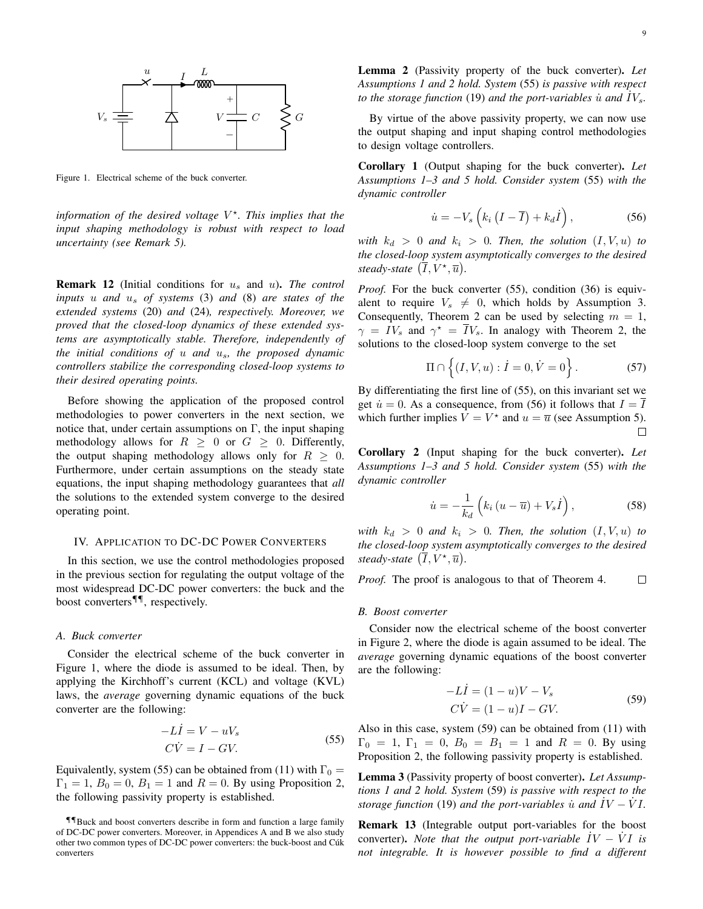Figure 1. Electrical scheme of the buck converter.

information of the desired voltage  $V^*$ . This implies that the *input shaping methodology is robust with respect to load uncertainty (see Remark 5).*

Remark 12 (Initial conditions for u<sup>s</sup> and u). *The control inputs* u *and* u<sup>s</sup> *of systems* (3) *and* (8) *are states of the extended systems* (20) *and* (24)*, respectively. Moreover, we proved that the closed-loop dynamics of these extended systems are asymptotically stable. Therefore, independently of the initial conditions of* u *and* us*, the proposed dynamic controllers stabilize the corresponding closed-loop systems to their desired operating points.*

Before showing the application of the proposed control methodologies to power converters in the next section, we notice that, under certain assumptions on  $\Gamma$ , the input shaping methodology allows for  $R \geq 0$  or  $G \geq 0$ . Differently, the output shaping methodology allows only for  $R > 0$ . Furthermore, under certain assumptions on the steady state equations, the input shaping methodology guarantees that *all* the solutions to the extended system converge to the desired operating point.

#### IV. APPLICATION TO DC-DC POWER CONVERTERS

In this section, we use the control methodologies proposed in the previous section for regulating the output voltage of the most widespread DC-DC power converters: the buck and the boost converters¶¶, respectively.

## *A. Buck converter*

Consider the electrical scheme of the buck converter in Figure 1, where the diode is assumed to be ideal. Then, by applying the Kirchhoff's current (KCL) and voltage (KVL) laws, the *average* governing dynamic equations of the buck converter are the following:

$$
-LI = V - uVs
$$
  
\n
$$
C\dot{V} = I - GV.
$$
\n(55)

Equivalently, system (55) can be obtained from (11) with  $\Gamma_0 =$  $\Gamma_1 = 1, B_0 = 0, B_1 = 1$  and  $R = 0$ . By using Proposition 2, the following passivity property is established.

By virtue of the above passivity property, we can now use the output shaping and input shaping control methodologies to design voltage controllers.

*to the storage function* (19) *and the port-variables*  $\dot{u}$  *and*  $IV_s$ .

Corollary 1 (Output shaping for the buck converter). *Let Assumptions 1–3 and 5 hold. Consider system* (55) *with the dynamic controller*

$$
\dot{u} = -V_s \left( k_i \left( I - \overline{I} \right) + k_d \dot{I} \right), \tag{56}
$$

*with*  $k_d > 0$  *and*  $k_i > 0$ *. Then, the solution*  $(I, V, u)$  *to the closed-loop system asymptotically converges to the desired steady-state*  $(\overline{I}, V^*, \overline{u})$ *.* 

*Proof.* For the buck converter (55), condition (36) is equivalent to require  $V_s \neq 0$ , which holds by Assumption 3. Consequently, Theorem 2 can be used by selecting  $m = 1$ ,  $\gamma = IV_s$  and  $\gamma^* = \overline{IV}_s$ . In analogy with Theorem 2, the solutions to the closed-loop system converge to the set

$$
\Pi \cap \left\{ (I, V, u) : \dot{I} = 0, \dot{V} = 0 \right\}.
$$
 (57)

By differentiating the first line of (55), on this invariant set we get  $\dot{u} = 0$ . As a consequence, from (56) it follows that  $I = \overline{I}$ which further implies  $V = V^*$  and  $u = \overline{u}$  (see Assumption 5).  $\Box$ 

Corollary 2 (Input shaping for the buck converter). *Let Assumptions 1–3 and 5 hold. Consider system* (55) *with the dynamic controller*

$$
\dot{u} = -\frac{1}{k_d} \left( k_i \left( u - \overline{u} \right) + V_s \dot{I} \right), \tag{58}
$$

*with*  $k_d > 0$  *and*  $k_i > 0$ *. Then, the solution*  $(I, V, u)$  *to the closed-loop system asymptotically converges to the desired steady-state*  $(\overline{I}, V^{\star}, \overline{u})$ *.* 

*Proof.* The proof is analogous to that of Theorem 4.  $\Box$ 

#### *B. Boost converter*

Consider now the electrical scheme of the boost converter in Figure 2, where the diode is again assumed to be ideal. The *average* governing dynamic equations of the boost converter are the following:

$$
-Li = (1 - u)V - Vs
$$
  
\n
$$
C\dot{V} = (1 - u)I - GV.
$$
\n(59)

Also in this case, system (59) can be obtained from (11) with  $\Gamma_0 = 1$ ,  $\Gamma_1 = 0$ ,  $B_0 = B_1 = 1$  and  $R = 0$ . By using Proposition 2, the following passivity property is established.

Lemma 3 (Passivity property of boost converter). *Let Assumptions 1 and 2 hold. System* (59) *is passive with respect to the storage function* (19) *and the port-variables*  $\dot{u}$  *and*  $\dot{I}V - \dot{V}I$ .

Remark 13 (Integrable output port-variables for the boost converter). *Note that the output port-variable*  $\dot{IV} - \dot{V}I$  *is not integrable. It is however possible to find a different*

<sup>¶¶</sup>Buck and boost converters describe in form and function a large family of DC-DC power converters. Moreover, in Appendices A and B we also study other two common types of DC-DC power converters: the buck-boost and Cúk converters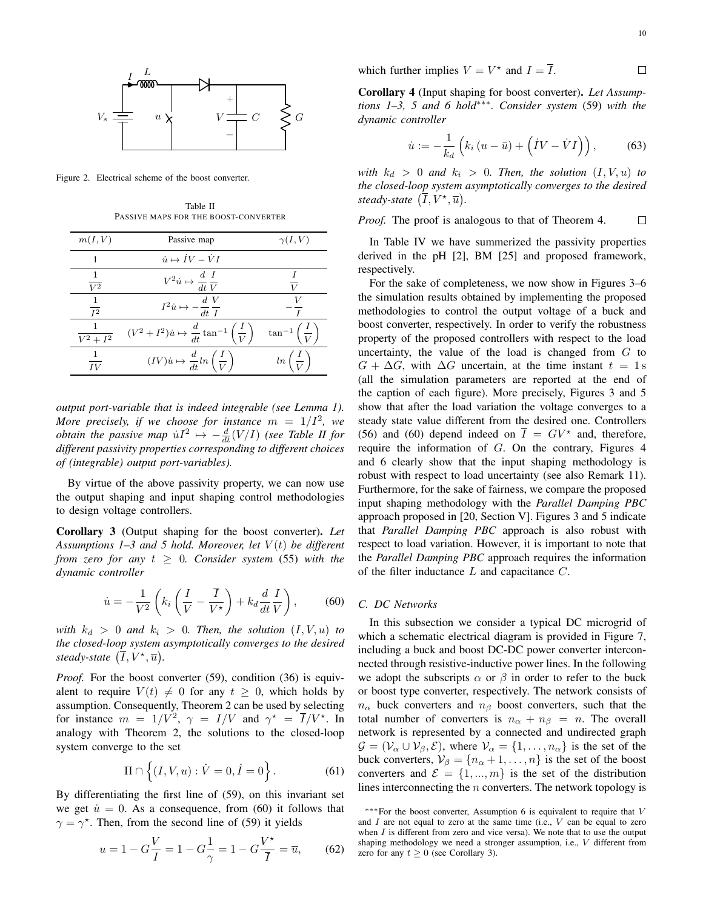

Figure 2. Electrical scheme of the boost converter.

Table II PASSIVE MAPS FOR THE BOOST-CONVERTER

| m(I, V)              | Passive map                                                                 | $\gamma(I,V)$                       |
|----------------------|-----------------------------------------------------------------------------|-------------------------------------|
|                      | $\dot{u} \mapsto \dot{IV} - \dot{VI}$                                       |                                     |
| $\overline{V^2}$     | $V^2 \dot{u} \mapsto \frac{d}{dt} \frac{I}{V}$                              |                                     |
| $I^2$                | $I^2 \dot{u} \mapsto -\frac{d}{dt} \frac{V}{I}$                             |                                     |
| $\overline{V^2+I^2}$ | $(V^2 + I^2)\dot{u} \mapsto \frac{d}{dt} \tan^{-1}\left(\frac{I}{V}\right)$ | $\tan^{-1}\left(\frac{I}{V}\right)$ |
| IV                   | $(IV)\dot{u} \mapsto \frac{d}{dt}ln\left(\frac{I}{V}\right)$                | $ln\left(\frac{I}{V}\right)$        |

*output port-variable that is indeed integrable (see Lemma 1). More precisely, if we choose for instance*  $m = 1/I^2$ , we *obtain the passive map*  $uI^2 \mapsto -\frac{d}{dt}(V/I)$  *(see Table II for different passivity properties corresponding to different choices of (integrable) output port-variables).*

By virtue of the above passivity property, we can now use the output shaping and input shaping control methodologies to design voltage controllers.

Corollary 3 (Output shaping for the boost converter). *Let Assumptions 1–3 and 5 hold. Moreover, let* V (t) *be different from zero for any*  $t \geq 0$ *. Consider system* (55) *with the dynamic controller*

$$
\dot{u} = -\frac{1}{V^2} \left( k_i \left( \frac{I}{V} - \frac{\overline{I}}{V^*} \right) + k_d \frac{d}{dt} \frac{I}{V} \right), \tag{60}
$$

*with*  $k_d > 0$  *and*  $k_i > 0$ *. Then, the solution*  $(I, V, u)$  *to the closed-loop system asymptotically converges to the desired steady-state*  $(\overline{I}, V^{\star}, \overline{u})$ *.* 

*Proof.* For the boost converter (59), condition (36) is equivalent to require  $V(t) \neq 0$  for any  $t \geq 0$ , which holds by assumption. Consequently, Theorem 2 can be used by selecting for instance  $m = 1/V^2$ ,  $\gamma = I/V$  and  $\gamma^* = \overline{I}/V^*$ . In analogy with Theorem 2, the solutions to the closed-loop system converge to the set

$$
\Pi \cap \left\{ (I, V, u) : \dot{V} = 0, \dot{I} = 0 \right\}.
$$
 (61)

By differentiating the first line of (59), on this invariant set we get  $\dot{u} = 0$ . As a consequence, from (60) it follows that  $\gamma = \gamma^*$ . Then, from the second line of (59) it yields

$$
u = 1 - G\frac{V}{I} = 1 - G\frac{1}{\gamma} = 1 - G\frac{V^{\star}}{\overline{I}} = \overline{u},\qquad(62)
$$

 $\Box$ 

which further implies  $V = V^*$  and  $I = \overline{I}$ .

Corollary 4 (Input shaping for boost converter). *Let Assumptions 1–3, 5 and 6 hold*∗∗∗*. Consider system* (59) *with the dynamic controller*

$$
\dot{u} := -\frac{1}{k_d} \left( k_i \left( u - \bar{u} \right) + \left( \dot{I}V - \dot{V}I \right) \right), \tag{63}
$$

*with*  $k_d > 0$  *and*  $k_i > 0$ *. Then, the solution*  $(I, V, u)$  *to the closed-loop system asymptotically converges to the desired steady-state*  $(\overline{I}, V^*, \overline{u})$ .

*Proof.* The proof is analogous to that of Theorem 4.  $\Box$ 

In Table IV we have summerized the passivity properties derived in the pH [2], BM [25] and proposed framework, respectively.

For the sake of completeness, we now show in Figures 3–6 the simulation results obtained by implementing the proposed methodologies to control the output voltage of a buck and boost converter, respectively. In order to verify the robustness property of the proposed controllers with respect to the load uncertainty, the value of the load is changed from  $G$  to  $G + \Delta G$ , with  $\Delta G$  uncertain, at the time instant  $t = 1$  s (all the simulation parameters are reported at the end of the caption of each figure). More precisely, Figures 3 and 5 show that after the load variation the voltage converges to a steady state value different from the desired one. Controllers (56) and (60) depend indeed on  $\overline{I} = G V^*$  and, therefore, require the information of G. On the contrary, Figures 4 and 6 clearly show that the input shaping methodology is robust with respect to load uncertainty (see also Remark 11). Furthermore, for the sake of fairness, we compare the proposed input shaping methodology with the *Parallel Damping PBC* approach proposed in [20, Section V]. Figures 3 and 5 indicate that *Parallel Damping PBC* approach is also robust with respect to load variation. However, it is important to note that the *Parallel Damping PBC* approach requires the information of the filter inductance  $L$  and capacitance  $C$ .

# *C. DC Networks*

In this subsection we consider a typical DC microgrid of which a schematic electrical diagram is provided in Figure 7, including a buck and boost DC-DC power converter interconnected through resistive-inductive power lines. In the following we adopt the subscripts  $\alpha$  or  $\beta$  in order to refer to the buck or boost type converter, respectively. The network consists of  $n_{\alpha}$  buck converters and  $n_{\beta}$  boost converters, such that the total number of converters is  $n_{\alpha} + n_{\beta} = n$ . The overall network is represented by a connected and undirected graph  $\mathcal{G} = (\mathcal{V}_{\alpha} \cup \mathcal{V}_{\beta}, \mathcal{E})$ , where  $\mathcal{V}_{\alpha} = \{1, \dots, n_{\alpha}\}\$ is the set of the buck converters,  $V_\beta = \{n_\alpha + 1, \dots, n\}$  is the set of the boost converters and  $\mathcal{E} = \{1, ..., m\}$  is the set of the distribution lines interconnecting the  $n$  converters. The network topology is

<sup>∗∗∗</sup>For the boost converter, Assumption 6 is equivalent to require that V and  $I$  are not equal to zero at the same time (i.e.,  $V$  can be equal to zero when  $I$  is different from zero and vice versa). We note that to use the output shaping methodology we need a stronger assumption, i.e., V different from zero for any  $t \geq 0$  (see Corollary 3).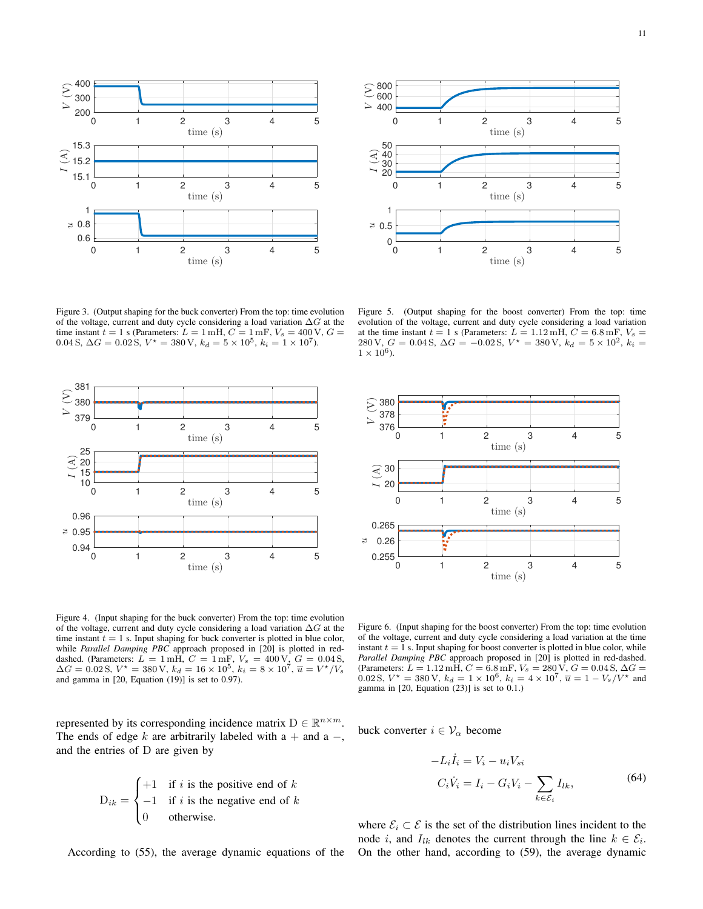

Figure 3. (Output shaping for the buck converter) From the top: time evolution of the voltage, current and duty cycle considering a load variation  $\Delta G$  at the time instant  $t = 1$  s (Parameters:  $L = 1$  mH,  $C = 1$  mF,  $V_s = 400$  V,  $G =$ 0.04 S,  $\Delta G = 0.02$  S,  $V^* = 380$  V,  $k_d = 5 \times 10^5$ ,  $k_i = 1 \times 10^7$ ).



Figure 4. (Input shaping for the buck converter) From the top: time evolution of the voltage, current and duty cycle considering a load variation  $\Delta G$  at the time instant  $t = 1$  s. Input shaping for buck converter is plotted in blue color, while *Parallel Damping PBC* approach proposed in [20] is plotted in reddashed. (Parameters:  $\overrightarrow{L} = 1$  mH,  $C = 1$  mF,  $V_s = 400$  V,  $G = 0.04$  S,  $\Delta G = 0.02$  S,  $V^* = 380$  V,  $k_d = 16 \times 10^5$ ,  $k_i = 8 \times 10^7$ ,  $\overline{u} = V^*/V_s$ and gamma in [20, Equation (19)] is set to 0.97).

represented by its corresponding incidence matrix  $D \in \mathbb{R}^{n \times m}$ . The ends of edge k are arbitrarily labeled with a + and a  $-$ , and the entries of D are given by

$$
D_{ik} = \begin{cases} +1 & \text{if } i \text{ is the positive end of } k \\ -1 & \text{if } i \text{ is the negative end of } k \\ 0 & \text{otherwise.} \end{cases}
$$

According to (55), the average dynamic equations of the



Figure 5. (Output shaping for the boost converter) From the top: time evolution of the voltage, current and duty cycle considering a load variation at the time instant  $t = 1$  s (Parameters:  $L = 1.12$  mH,  $C = 6.8$  mF,  $V_s =$ 280 V,  $G = 0.04$  S,  $\Delta G = -0.02$  S,  $V^* = 380$  V,  $k_d = 5 \times 10^2$ ,  $k_i =$  $1 \times 10^6$ ).



Figure 6. (Input shaping for the boost converter) From the top: time evolution of the voltage, current and duty cycle considering a load variation at the time instant  $t = 1$  s. Input shaping for boost converter is plotted in blue color, while *Parallel Damping PBC* approach proposed in [20] is plotted in red-dashed. (Parameters:  $L = 1.12 \text{ mH}, C = 6.8 \text{ mF}, V_s = 280 \text{ V}, G = 0.04 \text{ S}, \Delta G =$ 0.02 S,  $V^* = 380 \text{ V}$ ,  $k_d = 1 \times 10^6$ ,  $k_i = 4 \times 10^7$ ,  $\overline{u} = 1 - V_s/V^*$  and gamma in  $[20,$  Equation  $(23)$ ] is set to 0.1.)

buck converter  $i \in V_\alpha$  become

$$
-L_i \dot{I}_i = V_i - u_i V_{si}
$$
  
\n
$$
C_i \dot{V}_i = I_i - G_i V_i - \sum_{k \in \mathcal{E}_i} I_{lk},
$$
\n(64)

where  $\mathcal{E}_i \subset \mathcal{E}$  is the set of the distribution lines incident to the node *i*, and  $I_{lk}$  denotes the current through the line  $k \in \mathcal{E}_i$ . On the other hand, according to (59), the average dynamic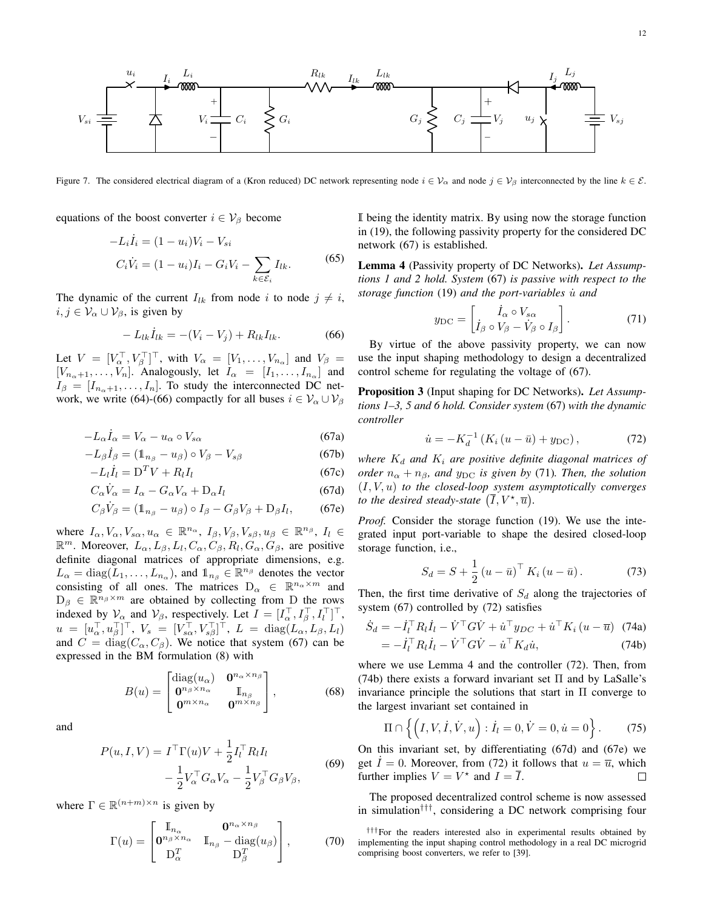

Figure 7. The considered electrical diagram of a (Kron reduced) DC network representing node  $i \in V_\alpha$  and node  $j \in V_\beta$  interconnected by the line  $k \in \mathcal{E}$ .

equations of the boost converter  $i \in V_\beta$  become

$$
-L_i \dot{I}_i = (1 - u_i)V_i - V_{si}
$$
  

$$
C_i \dot{V}_i = (1 - u_i)I_i - G_i V_i - \sum_{k \in \mathcal{E}_i} I_{lk}.
$$
 (65)

The dynamic of the current  $I_{lk}$  from node i to node  $j \neq i$ ,  $i, j \in \mathcal{V}_\alpha \cup \mathcal{V}_\beta$ , is given by

$$
-L_{lk}\dot{I}_{lk} = -(V_i - V_j) + R_{lk}I_{lk}.
$$
 (66)

Let  $V = [V_\alpha^\top, V_\beta^\top]^\top$ , with  $V_\alpha = [V_1, \dots, V_{n_\alpha}]$  and  $V_\beta =$  $[V_{n_{\alpha}+1},...,V_n]$ . Analogously, let  $I_{\alpha} = [I_1,...,I_{n_{\alpha}}]$  and  $I_{\beta} = [I_{n_{\alpha}+1}, \ldots, I_n]$ . To study the interconnected DC network, we write (64)-(66) compactly for all buses  $i \in V_\alpha \cup V_\beta$ 

$$
-L_{\alpha}\dot{I}_{\alpha} = V_{\alpha} - u_{\alpha} \circ V_{s\alpha} \tag{67a}
$$

$$
-L_{\beta}\dot{I}_{\beta} = (\mathbb{1}_{n_{\beta}} - u_{\beta}) \circ V_{\beta} - V_{s\beta} \tag{67b}
$$

$$
-L_l \dot{I}_l = D^T V + R_l I_l \tag{67c}
$$

$$
C_{\alpha}\dot{V}_{\alpha} = I_{\alpha} - G_{\alpha}V_{\alpha} + D_{\alpha}I_{l}
$$
 (67d)

$$
C_{\beta}\dot{V}_{\beta} = (\mathbb{1}_{n_{\beta}} - u_{\beta}) \circ I_{\beta} - G_{\beta}V_{\beta} + \mathcal{D}_{\beta}I_{l},
$$
 (67e)

where  $I_{\alpha}, V_{\alpha}, V_{s\alpha}, u_{\alpha} \in \mathbb{R}^{n_{\alpha}}, I_{\beta}, V_{\beta}, V_{s\beta}, u_{\beta} \in \mathbb{R}^{n_{\beta}}, I_{l} \in$  $\mathbb{R}^m$ . Moreover,  $L_{\alpha}$ ,  $L_{\beta}$ ,  $L_l$ ,  $C_{\alpha}$ ,  $C_{\beta}$ ,  $R_l$ ,  $G_{\alpha}$ ,  $G_{\beta}$ , are positive definite diagonal matrices of appropriate dimensions, e.g.  $L_{\alpha} = \text{diag}(\overline{L}_1, \dots, \overline{L}_{n_{\alpha}})$ , and  $\mathbb{1}_{n_{\beta}} \in \mathbb{R}^{n_{\beta}}$  denotes the vector consisting of all ones. The matrices  $D_{\alpha} \in \mathbb{R}^{n_{\alpha} \times m}$  and  $D_\beta \in \mathbb{R}^{n_\beta \times m}$  are obtained by collecting from D the rows indexed by  $\mathcal{V}_{\alpha}$  and  $\mathcal{V}_{\beta}$ , respectively. Let  $I = [I_{\alpha}^{\top}, I_{\beta}^{\top}, I_{l}^{\top}]^{\top}$ ,  $u = [u_{\alpha}^{\top}, u_{\beta}^{\top}]^{\top}, V_s = [V_{s\alpha}^{\top}, V_{s\beta}^{\top}]^{\top}, L = \text{diag}(L_{\alpha}, L_{\beta}, L_l)$ and  $C = diag(C_\alpha, C_\beta)$ . We notice that system (67) can be expressed in the BM formulation (8) with

$$
B(u) = \begin{bmatrix} \text{diag}(u_{\alpha}) & \mathbf{0}^{n_{\alpha} \times n_{\beta}} \\ \mathbf{0}^{n_{\beta} \times n_{\alpha}} & \mathbb{I}_{n_{\beta}} \\ \mathbf{0}^{m \times n_{\alpha}} & \mathbf{0}^{m \times n_{\beta}} \end{bmatrix},
$$
(68)

and

$$
P(u, I, V) = I^{\top} \Gamma(u) V + \frac{1}{2} I_l^{\top} R_l I_l
$$
  

$$
- \frac{1}{2} V_{\alpha}^{\top} G_{\alpha} V_{\alpha} - \frac{1}{2} V_{\beta}^{\top} G_{\beta} V_{\beta},
$$
 (69)

where  $\Gamma \in \mathbb{R}^{(n+m)\times n}$  is given by

$$
\Gamma(u) = \begin{bmatrix} \mathbb{I}_{n_{\alpha}} & \mathbf{0}^{n_{\alpha} \times n_{\beta}} \\ \mathbf{0}^{n_{\beta} \times n_{\alpha}} & \mathbb{I}_{n_{\beta}} - \text{diag}(u_{\beta}) \\ \mathbf{D}_{\alpha}^{T} & \mathbf{D}_{\beta}^{T} \end{bmatrix},
$$
(70)

I being the identity matrix. By using now the storage function in (19), the following passivity property for the considered DC network (67) is established.

Lemma 4 (Passivity property of DC Networks). *Let Assumptions 1 and 2 hold. System* (67) *is passive with respect to the storage function* (19) *and the port-variables is and* 

$$
y_{\rm DC} = \begin{bmatrix} \dot{I}_{\alpha} \circ V_{s\alpha} \\ \dot{I}_{\beta} \circ V_{\beta} - \dot{V}_{\beta} \circ I_{\beta} \end{bmatrix} . \tag{71}
$$

By virtue of the above passivity property, we can now use the input shaping methodology to design a decentralized control scheme for regulating the voltage of (67).

Proposition 3 (Input shaping for DC Networks). *Let Assumptions 1–3, 5 and 6 hold. Consider system* (67) *with the dynamic controller*

$$
\dot{u} = -K_d^{-1} \left( K_i \left( u - \bar{u} \right) + y_{\rm DC} \right),\tag{72}
$$

*where*  $K_d$  *and*  $K_i$  *are positive definite diagonal matrices of order*  $n_{\alpha} + n_{\beta}$ *, and y*<sub>DC</sub> *is given by* (71)*. Then, the solution* (I, V, u) *to the closed-loop system asymptotically converges to the desired steady-state*  $(\overline{I}, V^{\star}, \overline{u})$ .

*Proof.* Consider the storage function (19). We use the integrated input port-variable to shape the desired closed-loop storage function, i.e.,

$$
S_d = S + \frac{1}{2} \left( u - \bar{u} \right)^{\top} K_i \left( u - \bar{u} \right). \tag{73}
$$

Then, the first time derivative of  $S_d$  along the trajectories of system (67) controlled by (72) satisfies

$$
\dot{S}_d = -\dot{I}_l^\top R_l \dot{I}_l - \dot{V}^\top G \dot{V} + \dot{u}^\top y_{DC} + \dot{u}^\top K_i (u - \overline{u}) \tag{74a}
$$
\n
$$
= -\dot{I}_l^\top R_l \dot{I}_l - \dot{V}^\top G \dot{V} - \dot{u}^\top K_d \dot{u}, \tag{74b}
$$

where we use Lemma 4 and the controller (72). Then, from (74b) there exists a forward invariant set  $\Pi$  and by LaSalle's invariance principle the solutions that start in  $\Pi$  converge to the largest invariant set contained in

$$
\Pi \cap \left\{ \left( I, V, \dot{I}, \dot{V}, u \right) : \dot{I}_l = 0, \dot{V} = 0, \dot{u} = 0 \right\}.
$$
 (75)

On this invariant set, by differentiating (67d) and (67e) we get  $I = 0$ . Moreover, from (72) it follows that  $u = \overline{u}$ , which further implies  $V = V^*$  and  $I = \overline{I}$ .  $\Box$ 

The proposed decentralized control scheme is now assessed in simulation†††, considering a DC network comprising four

<sup>†††</sup>For the readers interested also in experimental results obtained by implementing the input shaping control methodology in a real DC microgrid comprising boost converters, we refer to [39].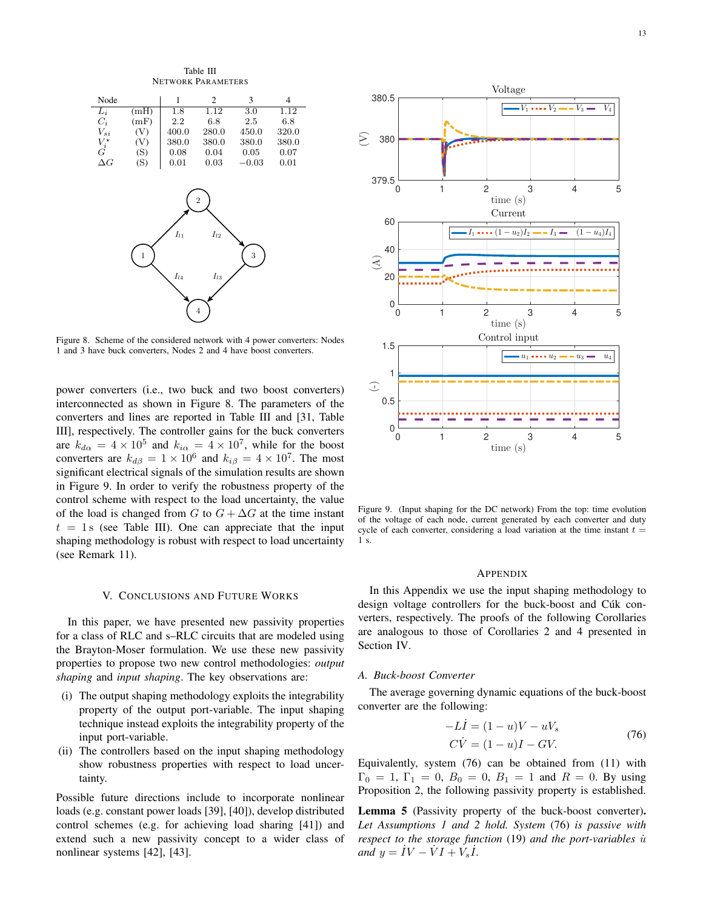Table III NETWORK PARAMETERS



Figure 8. Scheme of the considered network with 4 power converters: Nodes 1 and 3 have buck converters, Nodes 2 and 4 have boost converters.

power converters (i.e., two buck and two boost converters) interconnected as shown in Figure 8. The parameters of the converters and lines are reported in Table III and [31, Table III], respectively. The controller gains for the buck converters are  $k_{d\alpha} = 4 \times 10^5$  and  $k_{i\alpha} = 4 \times 10^7$ , while for the boost converters are  $k_{d\beta} = 1 \times 10^6$  and  $k_{i\beta} = 4 \times 10^7$ . The most significant electrical signals of the simulation results are shown in Figure 9. In order to verify the robustness property of the control scheme with respect to the load uncertainty, the value of the load is changed from G to  $G + \Delta G$  at the time instant  $t = 1$  s (see Table III). One can appreciate that the input shaping methodology is robust with respect to load uncertainty (see Remark 11).

#### V. CONCLUSIONS AND FUTURE WORKS

In this paper, we have presented new passivity properties for a class of RLC and s–RLC circuits that are modeled using the Brayton-Moser formulation. We use these new passivity properties to propose two new control methodologies: *output shaping* and *input shaping*. The key observations are:

- (i) The output shaping methodology exploits the integrability property of the output port-variable. The input shaping technique instead exploits the integrability property of the input port-variable.
- (ii) The controllers based on the input shaping methodology show robustness properties with respect to load uncertainty.

Possible future directions include to incorporate nonlinear loads (e.g. constant power loads [39], [40]), develop distributed control schemes (e.g. for achieving load sharing [41]) and extend such a new passivity concept to a wider class of nonlinear systems [42], [43].



Figure 9. (Input shaping for the DC network) From the top: time evolution of the voltage of each node, current generated by each converter and duty cycle of each converter, considering a load variation at the time instant  $t =$ 1 s.

#### APPENDIX

In this Appendix we use the input shaping methodology to design voltage controllers for the buck-boost and Cúk converters, respectively. The proofs of the following Corollaries are analogous to those of Corollaries 2 and 4 presented in Section IV.

## *A. Buck-boost Converter*

The average governing dynamic equations of the buck-boost converter are the following:

$$
-Li = (1 - u)V - uVs
$$
  
\n
$$
C\dot{V} = (1 - u)I - GV.
$$
\n(76)

Equivalently, system (76) can be obtained from (11) with  $\Gamma_0 = 1, \Gamma_1 = 0, B_0 = 0, B_1 = 1$  and  $R = 0$ . By using Proposition 2, the following passivity property is established.

Lemma 5 (Passivity property of the buck-boost converter). *Let Assumptions 1 and 2 hold. System* (76) *is passive with respect to the storage function* (19) *and the port-variables*  $\dot{u}$  $and y = \dot{I}V - \dot{V}I + V_s\dot{I}.$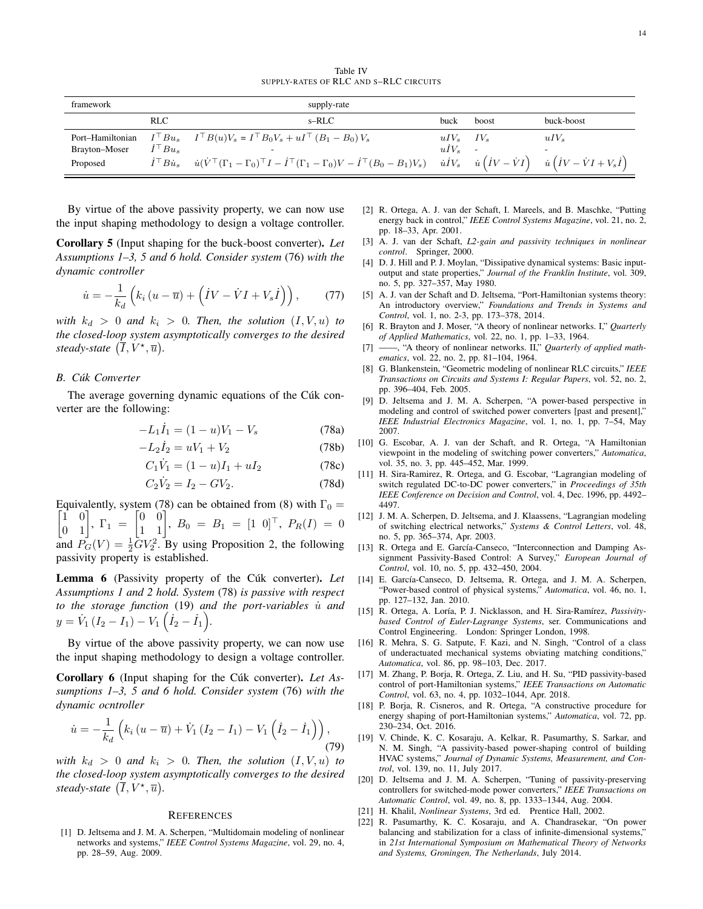| framework     |                           | supply-rate                                                                                                                                                                                                                                                           |                |       |            |
|---------------|---------------------------|-----------------------------------------------------------------------------------------------------------------------------------------------------------------------------------------------------------------------------------------------------------------------|----------------|-------|------------|
|               | <b>RLC</b>                | s-RLC                                                                                                                                                                                                                                                                 | buck           | boost | buck-boost |
|               |                           | Port–Hamiltonian $I^{\top}Bu_s$ $I^{\top}B(u)V_s = I^{\top}B_0V_s + uI^{\top} (B_1 - B_0)V_s$                                                                                                                                                                         | $uIV_s$ $IV_s$ |       | $uIV_s$    |
| Brayton-Moser | ${}^{\dot\tau\top} B u_s$ |                                                                                                                                                                                                                                                                       | $uIV_s$        |       |            |
| Proposed      |                           | $\dot{I}^\top B\dot{u}_s \quad \dot{u}(\dot{V}^\top(\Gamma_1-\Gamma_0)^\top I-\dot{I}^\top(\Gamma_1-\Gamma_0)V-\dot{I}^\top(B_0-B_1)V_s) \quad \dot{u} \dot{I}V_s \quad \dot{u}\left(\dot{I}V-\dot{V}I\right) \quad \dot{u}\left(\dot{I}V-\dot{V}I+V_s\dot{I}\right)$ |                |       |            |

By virtue of the above passivity property, we can now use the input shaping methodology to design a voltage controller.

Corollary 5 (Input shaping for the buck-boost converter). *Let Assumptions 1–3, 5 and 6 hold. Consider system* (76) *with the dynamic controller*

$$
\dot{u} = -\frac{1}{k_d} \left( k_i \left( u - \overline{u} \right) + \left( \dot{I}V - \dot{V}I + V_s \dot{I} \right) \right), \tag{77}
$$

*with*  $k_d > 0$  *and*  $k_i > 0$ *. Then, the solution*  $(I, V, u)$  *to the closed-loop system asymptotically converges to the desired steady-state*  $(\overline{I}, V^{\star}, \overline{u})$ *.* 

# *B. Cúk Converter*

The average governing dynamic equations of the Cúk converter are the following:

$$
-L_1 \dot{I}_1 = (1 - u)V_1 - V_s \tag{78a}
$$

$$
-L_2 \dot{I}_2 = uV_1 + V_2 \tag{78b}
$$

$$
C_1 \dot{V}_1 = (1 - u)I_1 + uI_2 \tag{78c}
$$

$$
C_2 \dot{V}_2 = I_2 - GV_2. \tag{78d}
$$

Equivalently, system (78) can be obtained from (8) with  $\Gamma_0 = \begin{bmatrix} 1 & 0 \\ 0 & 1 \end{bmatrix}$ ,  $\Gamma_1 = \begin{bmatrix} 0 & 0 \\ 1 & 1 \end{bmatrix}$ ,  $B_0 = B_1 = \begin{bmatrix} 1 & 0 \end{bmatrix}^\top$ ,  $P_R(I) = 0$ and  $\overline{P}_G(V) = \frac{1}{2}\overline{G}V_2^2$ . By using Proposition 2, the following passivity property is established.

Lemma 6 (Passivity property of the Cúk converter). *Let Assumptions 1 and 2 hold. System* (78) *is passive with respect to the storage function* (19) *and the port-variables is and*  $y = \dot{V}_1 (I_2 - I_1) - V_1 (\dot{I}_2 - \dot{I}_1).$ 

By virtue of the above passivity property, we can now use the input shaping methodology to design a voltage controller.

Corollary 6 (Input shaping for the Cúk converter). *Let Assumptions 1–3, 5 and 6 hold. Consider system* (76) *with the dynamic ocntroller*

$$
\dot{u} = -\frac{1}{k_d} \left( k_i \left( u - \overline{u} \right) + \dot{V}_1 \left( I_2 - I_1 \right) - V_1 \left( \dot{I}_2 - \dot{I}_1 \right) \right), \tag{79}
$$

*with*  $k_d > 0$  *and*  $k_i > 0$ *. Then, the solution*  $(I, V, u)$  *to the closed-loop system asymptotically converges to the desired steady-state*  $(\overline{I}, V^{\star}, \overline{u})$ *.* 

#### **REFERENCES**

[1] D. Jeltsema and J. M. A. Scherpen, "Multidomain modeling of nonlinear networks and systems," *IEEE Control Systems Magazine*, vol. 29, no. 4, pp. 28–59, Aug. 2009.

- [2] R. Ortega, A. J. van der Schaft, I. Mareels, and B. Maschke, "Putting energy back in control," *IEEE Control Systems Magazine*, vol. 21, no. 2, pp. 18–33, Apr. 2001.
- [3] A. J. van der Schaft, *L2-gain and passivity techniques in nonlinear control*. Springer, 2000.
- [4] D. J. Hill and P. J. Moylan, "Dissipative dynamical systems: Basic inputoutput and state properties," *Journal of the Franklin Institute*, vol. 309, no. 5, pp. 327–357, May 1980.
- [5] A. J. van der Schaft and D. Jeltsema, "Port-Hamiltonian systems theory: An introductory overview," *Foundations and Trends in Systems and Control*, vol. 1, no. 2-3, pp. 173–378, 2014.
- [6] R. Brayton and J. Moser, "A theory of nonlinear networks. I," *Quarterly of Applied Mathematics*, vol. 22, no. 1, pp. 1–33, 1964.
- [7] ——, "A theory of nonlinear networks. II," *Quarterly of applied mathematics*, vol. 22, no. 2, pp. 81–104, 1964.
- [8] G. Blankenstein, "Geometric modeling of nonlinear RLC circuits," *IEEE Transactions on Circuits and Systems I: Regular Papers*, vol. 52, no. 2, pp. 396–404, Feb. 2005.
- [9] D. Jeltsema and J. M. A. Scherpen, "A power-based perspective in modeling and control of switched power converters [past and present]," *IEEE Industrial Electronics Magazine*, vol. 1, no. 1, pp. 7–54, May 2007.
- [10] G. Escobar, A. J. van der Schaft, and R. Ortega, "A Hamiltonian viewpoint in the modeling of switching power converters," *Automatica*, vol. 35, no. 3, pp. 445–452, Mar. 1999.
- [11] H. Sira-Ramirez, R. Ortega, and G. Escobar, "Lagrangian modeling of switch regulated DC-to-DC power converters," in *Proceedings of 35th IEEE Conference on Decision and Control*, vol. 4, Dec. 1996, pp. 4492– 4497.
- [12] J. M. A. Scherpen, D. Jeltsema, and J. Klaassens, "Lagrangian modeling of switching electrical networks," *Systems & Control Letters*, vol. 48, no. 5, pp. 365–374, Apr. 2003.
- [13] R. Ortega and E. García-Canseco, "Interconnection and Damping Assignment Passivity-Based Control: A Survey," *European Journal of Control*, vol. 10, no. 5, pp. 432–450, 2004.
- [14] E. García-Canseco, D. Jeltsema, R. Ortega, and J. M. A. Scherpen, "Power-based control of physical systems," *Automatica*, vol. 46, no. 1, pp. 127–132, Jan. 2010.
- [15] R. Ortega, A. Loría, P. J. Nicklasson, and H. Sira-Ramírez, *Passivitybased Control of Euler-Lagrange Systems*, ser. Communications and Control Engineering. London: Springer London, 1998.
- [16] R. Mehra, S. G. Satpute, F. Kazi, and N. Singh, "Control of a class of underactuated mechanical systems obviating matching conditions," *Automatica*, vol. 86, pp. 98–103, Dec. 2017.
- [17] M. Zhang, P. Borja, R. Ortega, Z. Liu, and H. Su, "PID passivity-based control of port-Hamiltonian systems," *IEEE Transactions on Automatic Control*, vol. 63, no. 4, pp. 1032–1044, Apr. 2018.
- [18] P. Borja, R. Cisneros, and R. Ortega, "A constructive procedure for energy shaping of port-Hamiltonian systems," *Automatica*, vol. 72, pp. 230–234, Oct. 2016.
- [19] V. Chinde, K. C. Kosaraju, A. Kelkar, R. Pasumarthy, S. Sarkar, and N. M. Singh, "A passivity-based power-shaping control of building HVAC systems," *Journal of Dynamic Systems, Measurement, and Control*, vol. 139, no. 11, July 2017.
- [20] D. Jeltsema and J. M. A. Scherpen, "Tuning of passivity-preserving controllers for switched-mode power converters," *IEEE Transactions on Automatic Control*, vol. 49, no. 8, pp. 1333–1344, Aug. 2004.
- [21] H. Khalil, *Nonlinear Systems*, 3rd ed. Prentice Hall, 2002.
- [22] R. Pasumarthy, K. C. Kosaraju, and A. Chandrasekar, "On power balancing and stabilization for a class of infinite-dimensional systems," in *21st International Symposium on Mathematical Theory of Networks and Systems, Groningen, The Netherlands*, July 2014.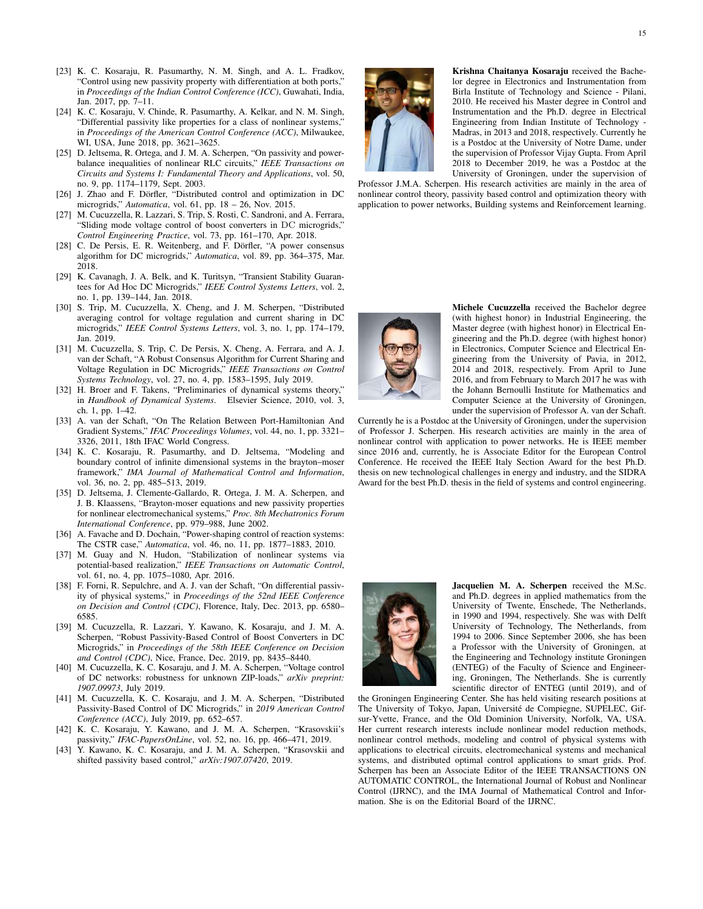- [23] K. C. Kosaraju, R. Pasumarthy, N. M. Singh, and A. L. Fradkov, "Control using new passivity property with differentiation at both ports," in *Proceedings of the Indian Control Conference (ICC)*, Guwahati, India, Jan. 2017, pp. 7–11.
- [24] K. C. Kosaraju, V. Chinde, R. Pasumarthy, A. Kelkar, and N. M. Singh, "Differential passivity like properties for a class of nonlinear systems," in *Proceedings of the American Control Conference (ACC)*, Milwaukee, WI, USA, June 2018, pp. 3621–3625.
- [25] D. Jeltsema, R. Ortega, and J. M. A. Scherpen, "On passivity and powerbalance inequalities of nonlinear RLC circuits," *IEEE Transactions on Circuits and Systems I: Fundamental Theory and Applications*, vol. 50, no. 9, pp. 1174–1179, Sept. 2003.
- [26] J. Zhao and F. Dörfler, "Distributed control and optimization in DC microgrids," *Automatica*, vol. 61, pp. 18 – 26, Nov. 2015.
- [27] M. Cucuzzella, R. Lazzari, S. Trip, S. Rosti, C. Sandroni, and A. Ferrara, "Sliding mode voltage control of boost converters in DC microgrids," *Control Engineering Practice*, vol. 73, pp. 161–170, Apr. 2018.
- [28] C. De Persis, E. R. Weitenberg, and F. Dörfler, "A power consensus algorithm for DC microgrids," *Automatica*, vol. 89, pp. 364–375, Mar. 2018.
- [29] K. Cavanagh, J. A. Belk, and K. Turitsyn, "Transient Stability Guarantees for Ad Hoc DC Microgrids," *IEEE Control Systems Letters*, vol. 2, no. 1, pp. 139–144, Jan. 2018.
- [30] S. Trip, M. Cucuzzella, X. Cheng, and J. M. Scherpen, "Distributed averaging control for voltage regulation and current sharing in DC microgrids," *IEEE Control Systems Letters*, vol. 3, no. 1, pp. 174–179, Jan. 2019.
- [31] M. Cucuzzella, S. Trip, C. De Persis, X. Cheng, A. Ferrara, and A. J. van der Schaft, "A Robust Consensus Algorithm for Current Sharing and Voltage Regulation in DC Microgrids," *IEEE Transactions on Control Systems Technology*, vol. 27, no. 4, pp. 1583–1595, July 2019.
- [32] H. Broer and F. Takens, "Preliminaries of dynamical systems theory," in *Handbook of Dynamical Systems*. Elsevier Science, 2010, vol. 3, ch. 1, pp. 1–42.
- [33] A. van der Schaft, "On The Relation Between Port-Hamiltonian And Gradient Systems," *IFAC Proceedings Volumes*, vol. 44, no. 1, pp. 3321– 3326, 2011, 18th IFAC World Congress.
- [34] K. C. Kosaraju, R. Pasumarthy, and D. Jeltsema, "Modeling and boundary control of infinite dimensional systems in the brayton–moser framework," *IMA Journal of Mathematical Control and Information*, vol. 36, no. 2, pp. 485–513, 2019.
- [35] D. Jeltsema, J. Clemente-Gallardo, R. Ortega, J. M. A. Scherpen, and J. B. Klaassens, "Brayton-moser equations and new passivity properties for nonlinear electromechanical systems," *Proc. 8th Mechatronics Forum International Conference*, pp. 979–988, June 2002.
- [36] A. Favache and D. Dochain, "Power-shaping control of reaction systems: The CSTR case," *Automatica*, vol. 46, no. 11, pp. 1877–1883, 2010.
- [37] M. Guay and N. Hudon, "Stabilization of nonlinear systems via potential-based realization," *IEEE Transactions on Automatic Control*, vol. 61, no. 4, pp. 1075–1080, Apr. 2016.
- [38] F. Forni, R. Sepulchre, and A. J. van der Schaft, "On differential passivity of physical systems," in *Proceedings of the 52nd IEEE Conference on Decision and Control (CDC)*, Florence, Italy, Dec. 2013, pp. 6580– 6585.
- [39] M. Cucuzzella, R. Lazzari, Y. Kawano, K. Kosaraju, and J. M. A. Scherpen, "Robust Passivity-Based Control of Boost Converters in DC Microgrids," in *Proceedings of the 58th IEEE Conference on Decision and Control (CDC)*, Nice, France, Dec. 2019, pp. 8435–8440.
- [40] M. Cucuzzella, K. C. Kosaraju, and J. M. A. Scherpen, "Voltage control of DC networks: robustness for unknown ZIP-loads," *arXiv preprint: 1907.09973*, July 2019.
- [41] M. Cucuzzella, K. C. Kosaraju, and J. M. A. Scherpen, "Distributed Passivity-Based Control of DC Microgrids," in *2019 American Control Conference (ACC)*, July 2019, pp. 652–657.
- [42] K. C. Kosaraju, Y. Kawano, and J. M. A. Scherpen, "Krasovskii's passivity," *IFAC-PapersOnLine*, vol. 52, no. 16, pp. 466–471, 2019.
- [43] Y. Kawano, K. C. Kosaraju, and J. M. A. Scherpen, "Krasovskii and shifted passivity based control," *arXiv:1907.07420*, 2019.



Krishna Chaitanya Kosaraju received the Bachelor degree in Electronics and Instrumentation from Birla Institute of Technology and Science - Pilani, 2010. He received his Master degree in Control and Instrumentation and the Ph.D. degree in Electrical Engineering from Indian Institute of Technology - Madras, in 2013 and 2018, respectively. Currently he is a Postdoc at the University of Notre Dame, under the supervision of Professor Vijay Gupta. From April 2018 to December 2019, he was a Postdoc at the University of Groningen, under the supervision of

Professor J.M.A. Scherpen. His research activities are mainly in the area of nonlinear control theory, passivity based control and optimization theory with application to power networks, Building systems and Reinforcement learning.



Michele Cucuzzella received the Bachelor degree (with highest honor) in Industrial Engineering, the Master degree (with highest honor) in Electrical Engineering and the Ph.D. degree (with highest honor) in Electronics, Computer Science and Electrical Engineering from the University of Pavia, in 2012, 2014 and 2018, respectively. From April to June 2016, and from February to March 2017 he was with the Johann Bernoulli Institute for Mathematics and Computer Science at the University of Groningen, under the supervision of Professor A. van der Schaft.

Currently he is a Postdoc at the University of Groningen, under the supervision of Professor J. Scherpen. His research activities are mainly in the area of nonlinear control with application to power networks. He is IEEE member since 2016 and, currently, he is Associate Editor for the European Control Conference. He received the IEEE Italy Section Award for the best Ph.D. thesis on new technological challenges in energy and industry, and the SIDRA Award for the best Ph.D. thesis in the field of systems and control engineering.



Jacquelien M. A. Scherpen received the M.Sc. and Ph.D. degrees in applied mathematics from the University of Twente, Enschede, The Netherlands, in 1990 and 1994, respectively. She was with Delft University of Technology, The Netherlands, from 1994 to 2006. Since September 2006, she has been a Professor with the University of Groningen, at the Engineering and Technology institute Groningen (ENTEG) of the Faculty of Science and Engineering, Groningen, The Netherlands. She is currently scientific director of ENTEG (until 2019), and of

the Groningen Engineering Center. She has held visiting research positions at The University of Tokyo, Japan, Université de Compiegne, SUPELEC, Gifsur-Yvette, France, and the Old Dominion University, Norfolk, VA, USA. Her current research interests include nonlinear model reduction methods, nonlinear control methods, modeling and control of physical systems with applications to electrical circuits, electromechanical systems and mechanical systems, and distributed optimal control applications to smart grids. Prof. Scherpen has been an Associate Editor of the IEEE TRANSACTIONS ON AUTOMATIC CONTROL, the International Journal of Robust and Nonlinear Control (IJRNC), and the IMA Journal of Mathematical Control and Information. She is on the Editorial Board of the IJRNC.